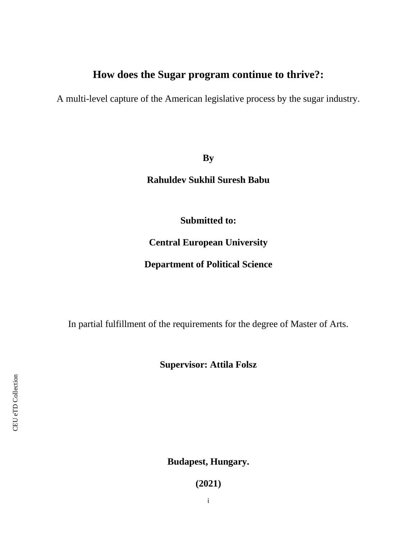# **How does the Sugar program continue to thrive?:**

A multi-level capture of the American legislative process by the sugar industry.

**By**

**Rahuldev Sukhil Suresh Babu**

**Submitted to:**

**Central European University**

**Department of Political Science**

In partial fulfillment of the requirements for the degree of Master of Arts.

**Supervisor: Attila Folsz**

**Budapest, Hungary.**

**(2021)**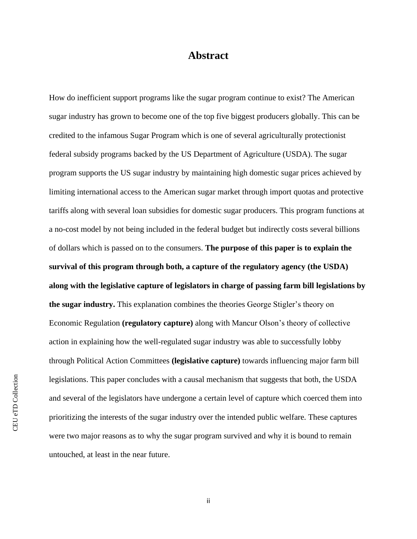### **Abstract**

How do inefficient support programs like the sugar program continue to exist? The American sugar industry has grown to become one of the top five biggest producers globally. This can be credited to the infamous Sugar Program which is one of several agriculturally protectionist federal subsidy programs backed by the US Department of Agriculture (USDA). The sugar program supports the US sugar industry by maintaining high domestic sugar prices achieved by limiting international access to the American sugar market through import quotas and protective tariffs along with several loan subsidies for domestic sugar producers. This program functions at a no-cost model by not being included in the federal budget but indirectly costs several billions of dollars which is passed on to the consumers. **The purpose of this paper is to explain the survival of this program through both, a capture of the regulatory agency (the USDA) along with the legislative capture of legislators in charge of passing farm bill legislations by the sugar industry.** This explanation combines the theories George Stigler's theory on Economic Regulation **(regulatory capture)** along with Mancur Olson's theory of collective action in explaining how the well-regulated sugar industry was able to successfully lobby through Political Action Committees **(legislative capture)** towards influencing major farm bill legislations. This paper concludes with a causal mechanism that suggests that both, the USDA and several of the legislators have undergone a certain level of capture which coerced them into prioritizing the interests of the sugar industry over the intended public welfare. These captures were two major reasons as to why the sugar program survived and why it is bound to remain untouched, at least in the near future.

ii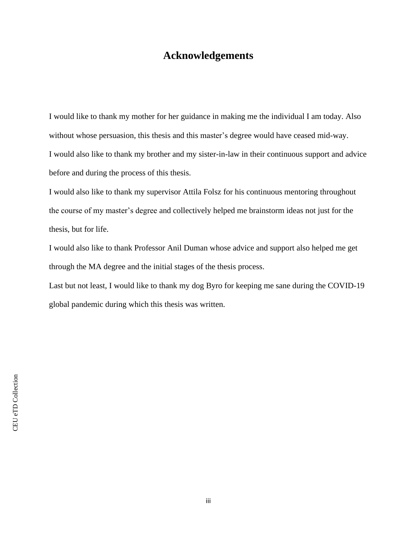### **Acknowledgements**

I would like to thank my mother for her guidance in making me the individual I am today. Also without whose persuasion, this thesis and this master's degree would have ceased mid-way. I would also like to thank my brother and my sister-in-law in their continuous support and advice before and during the process of this thesis.

I would also like to thank my supervisor Attila Folsz for his continuous mentoring throughout the course of my master's degree and collectively helped me brainstorm ideas not just for the thesis, but for life.

I would also like to thank Professor Anil Duman whose advice and support also helped me get through the MA degree and the initial stages of the thesis process.

Last but not least, I would like to thank my dog Byro for keeping me sane during the COVID-19 global pandemic during which this thesis was written.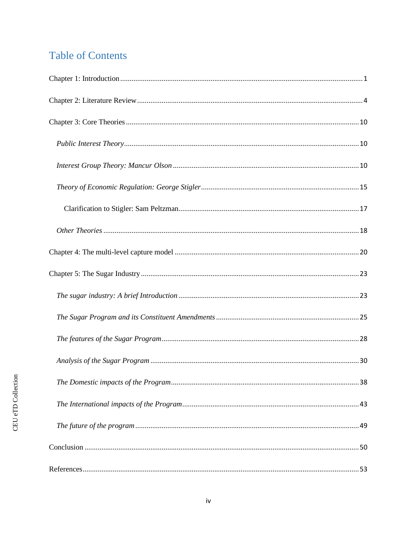# **Table of Contents**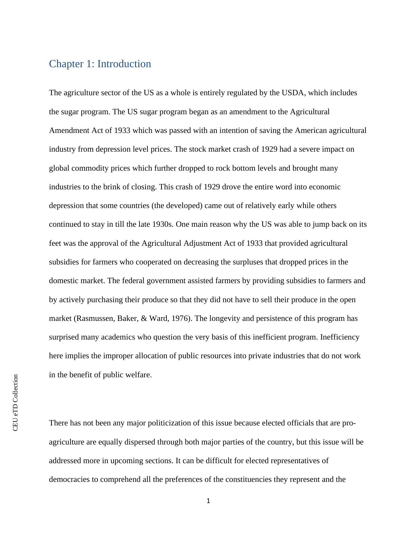### <span id="page-4-0"></span>Chapter 1: Introduction

The agriculture sector of the US as a whole is entirely regulated by the USDA, which includes the sugar program. The US sugar program began as an amendment to the Agricultural Amendment Act of 1933 which was passed with an intention of saving the American agricultural industry from depression level prices. The stock market crash of 1929 had a severe impact on global commodity prices which further dropped to rock bottom levels and brought many industries to the brink of closing. This crash of 1929 drove the entire word into economic depression that some countries (the developed) came out of relatively early while others continued to stay in till the late 1930s. One main reason why the US was able to jump back on its feet was the approval of the Agricultural Adjustment Act of 1933 that provided agricultural subsidies for farmers who cooperated on decreasing the surpluses that dropped prices in the domestic market. The federal government assisted farmers by providing subsidies to farmers and by actively purchasing their produce so that they did not have to sell their produce in the open market (Rasmussen, Baker, & Ward, 1976). The longevity and persistence of this program has surprised many academics who question the very basis of this inefficient program. Inefficiency here implies the improper allocation of public resources into private industries that do not work in the benefit of public welfare.

There has not been any major politicization of this issue because elected officials that are proagriculture are equally dispersed through both major parties of the country, but this issue will be addressed more in upcoming sections. It can be difficult for elected representatives of democracies to comprehend all the preferences of the constituencies they represent and the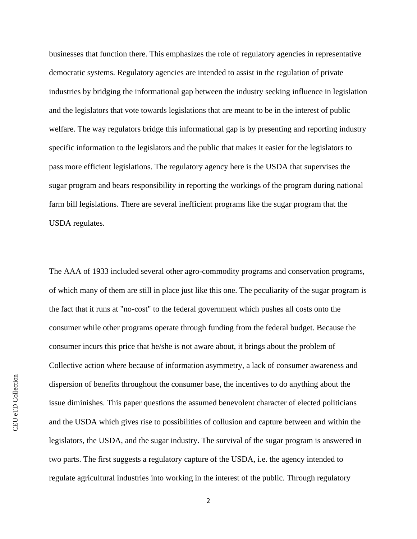businesses that function there. This emphasizes the role of regulatory agencies in representative democratic systems. Regulatory agencies are intended to assist in the regulation of private industries by bridging the informational gap between the industry seeking influence in legislation and the legislators that vote towards legislations that are meant to be in the interest of public welfare. The way regulators bridge this informational gap is by presenting and reporting industry specific information to the legislators and the public that makes it easier for the legislators to pass more efficient legislations. The regulatory agency here is the USDA that supervises the sugar program and bears responsibility in reporting the workings of the program during national farm bill legislations. There are several inefficient programs like the sugar program that the USDA regulates.

The AAA of 1933 included several other agro-commodity programs and conservation programs, of which many of them are still in place just like this one. The peculiarity of the sugar program is the fact that it runs at "no-cost" to the federal government which pushes all costs onto the consumer while other programs operate through funding from the federal budget. Because the consumer incurs this price that he/she is not aware about, it brings about the problem of Collective action where because of information asymmetry, a lack of consumer awareness and dispersion of benefits throughout the consumer base, the incentives to do anything about the issue diminishes. This paper questions the assumed benevolent character of elected politicians and the USDA which gives rise to possibilities of collusion and capture between and within the legislators, the USDA, and the sugar industry. The survival of the sugar program is answered in two parts. The first suggests a regulatory capture of the USDA, i.e. the agency intended to regulate agricultural industries into working in the interest of the public. Through regulatory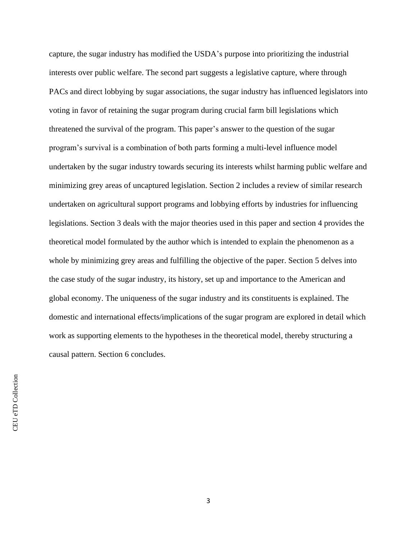capture, the sugar industry has modified the USDA's purpose into prioritizing the industrial interests over public welfare. The second part suggests a legislative capture, where through PACs and direct lobbying by sugar associations, the sugar industry has influenced legislators into voting in favor of retaining the sugar program during crucial farm bill legislations which threatened the survival of the program. This paper's answer to the question of the sugar program's survival is a combination of both parts forming a multi-level influence model undertaken by the sugar industry towards securing its interests whilst harming public welfare and minimizing grey areas of uncaptured legislation. Section 2 includes a review of similar research undertaken on agricultural support programs and lobbying efforts by industries for influencing legislations. Section 3 deals with the major theories used in this paper and section 4 provides the theoretical model formulated by the author which is intended to explain the phenomenon as a whole by minimizing grey areas and fulfilling the objective of the paper. Section 5 delves into the case study of the sugar industry, its history, set up and importance to the American and global economy. The uniqueness of the sugar industry and its constituents is explained. The domestic and international effects/implications of the sugar program are explored in detail which work as supporting elements to the hypotheses in the theoretical model, thereby structuring a causal pattern. Section 6 concludes.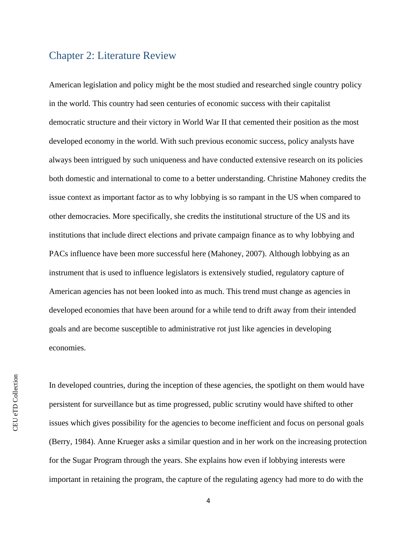### <span id="page-7-0"></span>Chapter 2: Literature Review

American legislation and policy might be the most studied and researched single country policy in the world. This country had seen centuries of economic success with their capitalist democratic structure and their victory in World War II that cemented their position as the most developed economy in the world. With such previous economic success, policy analysts have always been intrigued by such uniqueness and have conducted extensive research on its policies both domestic and international to come to a better understanding. Christine Mahoney credits the issue context as important factor as to why lobbying is so rampant in the US when compared to other democracies. More specifically, she credits the institutional structure of the US and its institutions that include direct elections and private campaign finance as to why lobbying and PACs influence have been more successful here (Mahoney, 2007). Although lobbying as an instrument that is used to influence legislators is extensively studied, regulatory capture of American agencies has not been looked into as much. This trend must change as agencies in developed economies that have been around for a while tend to drift away from their intended goals and are become susceptible to administrative rot just like agencies in developing economies.

In developed countries, during the inception of these agencies, the spotlight on them would have persistent for surveillance but as time progressed, public scrutiny would have shifted to other issues which gives possibility for the agencies to become inefficient and focus on personal goals (Berry, 1984). Anne Krueger asks a similar question and in her work on the increasing protection for the Sugar Program through the years. She explains how even if lobbying interests were important in retaining the program, the capture of the regulating agency had more to do with the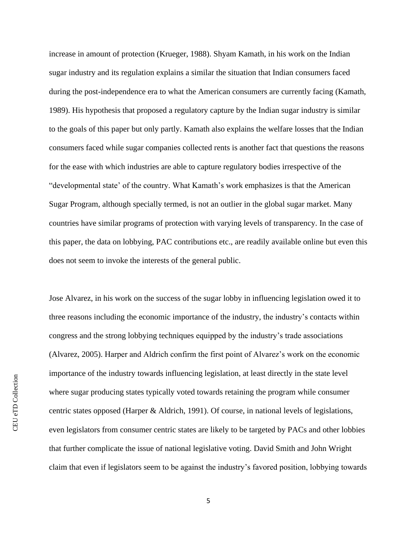increase in amount of protection (Krueger, 1988). Shyam Kamath, in his work on the Indian sugar industry and its regulation explains a similar the situation that Indian consumers faced during the post-independence era to what the American consumers are currently facing (Kamath, 1989). His hypothesis that proposed a regulatory capture by the Indian sugar industry is similar to the goals of this paper but only partly. Kamath also explains the welfare losses that the Indian consumers faced while sugar companies collected rents is another fact that questions the reasons for the ease with which industries are able to capture regulatory bodies irrespective of the "developmental state' of the country. What Kamath's work emphasizes is that the American Sugar Program, although specially termed, is not an outlier in the global sugar market. Many countries have similar programs of protection with varying levels of transparency. In the case of this paper, the data on lobbying, PAC contributions etc., are readily available online but even this does not seem to invoke the interests of the general public.

Jose Alvarez, in his work on the success of the sugar lobby in influencing legislation owed it to three reasons including the economic importance of the industry, the industry's contacts within congress and the strong lobbying techniques equipped by the industry's trade associations (Alvarez, 2005). Harper and Aldrich confirm the first point of Alvarez's work on the economic importance of the industry towards influencing legislation, at least directly in the state level where sugar producing states typically voted towards retaining the program while consumer centric states opposed (Harper & Aldrich, 1991). Of course, in national levels of legislations, even legislators from consumer centric states are likely to be targeted by PACs and other lobbies that further complicate the issue of national legislative voting. David Smith and John Wright claim that even if legislators seem to be against the industry's favored position, lobbying towards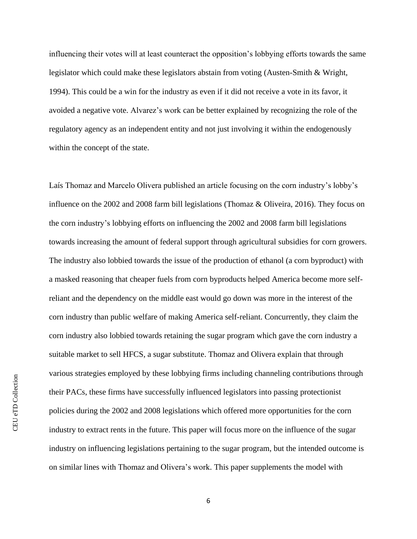influencing their votes will at least counteract the opposition's lobbying efforts towards the same legislator which could make these legislators abstain from voting (Austen-Smith & Wright, 1994). This could be a win for the industry as even if it did not receive a vote in its favor, it avoided a negative vote. Alvarez's work can be better explained by recognizing the role of the regulatory agency as an independent entity and not just involving it within the endogenously within the concept of the state.

Laís Thomaz and Marcelo Olivera published an article focusing on the corn industry's lobby's influence on the 2002 and 2008 farm bill legislations (Thomaz & Oliveira, 2016). They focus on the corn industry's lobbying efforts on influencing the 2002 and 2008 farm bill legislations towards increasing the amount of federal support through agricultural subsidies for corn growers. The industry also lobbied towards the issue of the production of ethanol (a corn byproduct) with a masked reasoning that cheaper fuels from corn byproducts helped America become more selfreliant and the dependency on the middle east would go down was more in the interest of the corn industry than public welfare of making America self-reliant. Concurrently, they claim the corn industry also lobbied towards retaining the sugar program which gave the corn industry a suitable market to sell HFCS, a sugar substitute. Thomaz and Olivera explain that through various strategies employed by these lobbying firms including channeling contributions through their PACs, these firms have successfully influenced legislators into passing protectionist policies during the 2002 and 2008 legislations which offered more opportunities for the corn industry to extract rents in the future. This paper will focus more on the influence of the sugar industry on influencing legislations pertaining to the sugar program, but the intended outcome is on similar lines with Thomaz and Olivera's work. This paper supplements the model with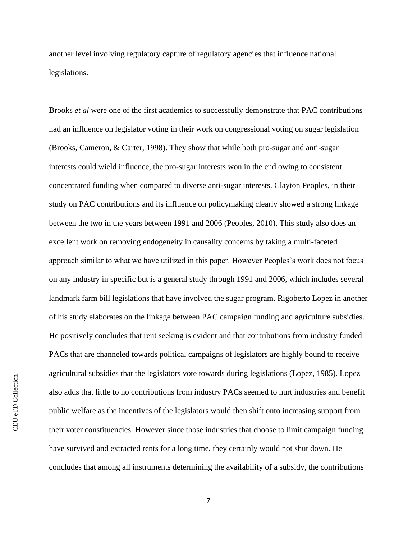another level involving regulatory capture of regulatory agencies that influence national legislations.

Brooks *et al* were one of the first academics to successfully demonstrate that PAC contributions had an influence on legislator voting in their work on congressional voting on sugar legislation (Brooks, Cameron, & Carter, 1998). They show that while both pro-sugar and anti-sugar interests could wield influence, the pro-sugar interests won in the end owing to consistent concentrated funding when compared to diverse anti-sugar interests. Clayton Peoples, in their study on PAC contributions and its influence on policymaking clearly showed a strong linkage between the two in the years between 1991 and 2006 (Peoples, 2010). This study also does an excellent work on removing endogeneity in causality concerns by taking a multi-faceted approach similar to what we have utilized in this paper. However Peoples's work does not focus on any industry in specific but is a general study through 1991 and 2006, which includes several landmark farm bill legislations that have involved the sugar program. Rigoberto Lopez in another of his study elaborates on the linkage between PAC campaign funding and agriculture subsidies. He positively concludes that rent seeking is evident and that contributions from industry funded PACs that are channeled towards political campaigns of legislators are highly bound to receive agricultural subsidies that the legislators vote towards during legislations (Lopez, 1985). Lopez also adds that little to no contributions from industry PACs seemed to hurt industries and benefit public welfare as the incentives of the legislators would then shift onto increasing support from their voter constituencies. However since those industries that choose to limit campaign funding have survived and extracted rents for a long time, they certainly would not shut down. He concludes that among all instruments determining the availability of a subsidy, the contributions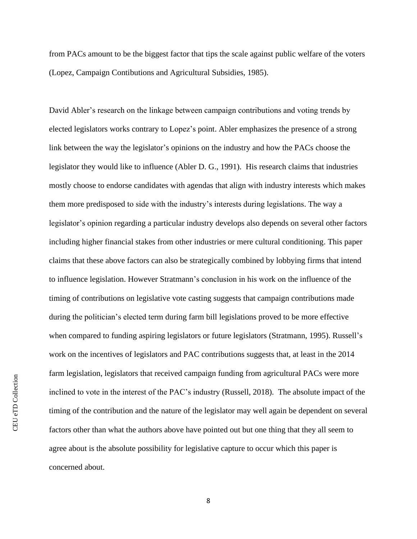from PACs amount to be the biggest factor that tips the scale against public welfare of the voters (Lopez, Campaign Contibutions and Agricultural Subsidies, 1985).

David Abler's research on the linkage between campaign contributions and voting trends by elected legislators works contrary to Lopez's point. Abler emphasizes the presence of a strong link between the way the legislator's opinions on the industry and how the PACs choose the legislator they would like to influence (Abler D. G., 1991). His research claims that industries mostly choose to endorse candidates with agendas that align with industry interests which makes them more predisposed to side with the industry's interests during legislations. The way a legislator's opinion regarding a particular industry develops also depends on several other factors including higher financial stakes from other industries or mere cultural conditioning. This paper claims that these above factors can also be strategically combined by lobbying firms that intend to influence legislation. However Stratmann's conclusion in his work on the influence of the timing of contributions on legislative vote casting suggests that campaign contributions made during the politician's elected term during farm bill legislations proved to be more effective when compared to funding aspiring legislators or future legislators (Stratmann, 1995). Russell's work on the incentives of legislators and PAC contributions suggests that, at least in the 2014 farm legislation, legislators that received campaign funding from agricultural PACs were more inclined to vote in the interest of the PAC's industry (Russell, 2018). The absolute impact of the timing of the contribution and the nature of the legislator may well again be dependent on several factors other than what the authors above have pointed out but one thing that they all seem to agree about is the absolute possibility for legislative capture to occur which this paper is concerned about.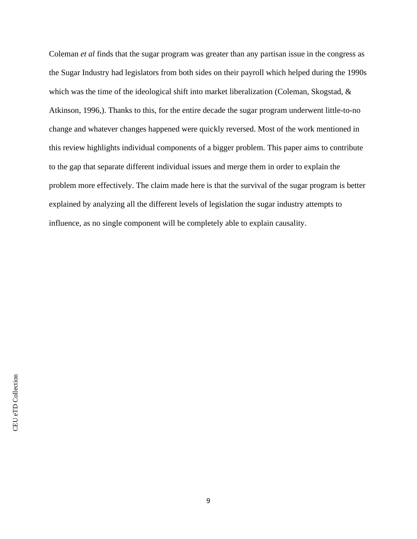Coleman *et al* finds that the sugar program was greater than any partisan issue in the congress as the Sugar Industry had legislators from both sides on their payroll which helped during the 1990s which was the time of the ideological shift into market liberalization (Coleman, Skogstad, & Atkinson, 1996,). Thanks to this, for the entire decade the sugar program underwent little-to-no change and whatever changes happened were quickly reversed. Most of the work mentioned in this review highlights individual components of a bigger problem. This paper aims to contribute to the gap that separate different individual issues and merge them in order to explain the problem more effectively. The claim made here is that the survival of the sugar program is better explained by analyzing all the different levels of legislation the sugar industry attempts to influence, as no single component will be completely able to explain causality.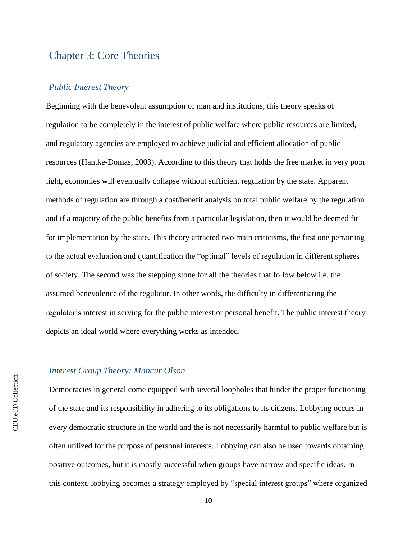# <span id="page-13-0"></span>Chapter 3: Core Theories

### <span id="page-13-1"></span>*Public Interest Theory*

Beginning with the benevolent assumption of man and institutions, this theory speaks of regulation to be completely in the interest of public welfare where public resources are limited, and regulatory agencies are employed to achieve judicial and efficient allocation of public resources (Hantke-Domas, 2003). According to this theory that holds the free market in very poor light, economies will eventually collapse without sufficient regulation by the state. Apparent methods of regulation are through a cost/benefit analysis on total public welfare by the regulation and if a majority of the public benefits from a particular legislation, then it would be deemed fit for implementation by the state. This theory attracted two main criticisms, the first one pertaining to the actual evaluation and quantification the "optimal" levels of regulation in different spheres of society. The second was the stepping stone for all the theories that follow below i.e. the assumed benevolence of the regulator. In other words, the difficulty in differentiating the regulator's interest in serving for the public interest or personal benefit. The public interest theory depicts an ideal world where everything works as intended.

#### <span id="page-13-2"></span>*Interest Group Theory: Mancur Olson*

Democracies in general come equipped with several loopholes that hinder the proper functioning of the state and its responsibility in adhering to its obligations to its citizens. Lobbying occurs in every democratic structure in the world and the is not necessarily harmful to public welfare but is often utilized for the purpose of personal interests. Lobbying can also be used towards obtaining positive outcomes, but it is mostly successful when groups have narrow and specific ideas. In this context, lobbying becomes a strategy employed by "special interest groups" where organized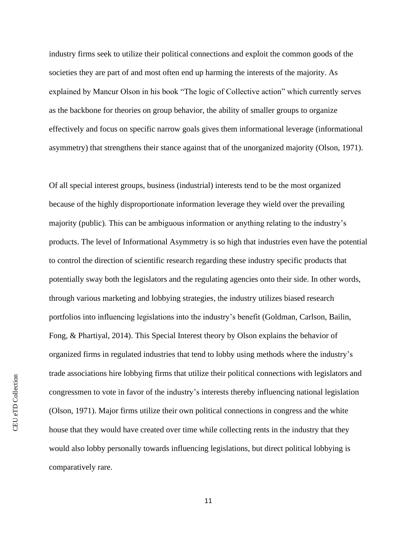industry firms seek to utilize their political connections and exploit the common goods of the societies they are part of and most often end up harming the interests of the majority. As explained by Mancur Olson in his book "The logic of Collective action" which currently serves as the backbone for theories on group behavior, the ability of smaller groups to organize effectively and focus on specific narrow goals gives them informational leverage (informational asymmetry) that strengthens their stance against that of the unorganized majority (Olson, 1971).

Of all special interest groups, business (industrial) interests tend to be the most organized because of the highly disproportionate information leverage they wield over the prevailing majority (public). This can be ambiguous information or anything relating to the industry's products. The level of Informational Asymmetry is so high that industries even have the potential to control the direction of scientific research regarding these industry specific products that potentially sway both the legislators and the regulating agencies onto their side. In other words, through various marketing and lobbying strategies, the industry utilizes biased research portfolios into influencing legislations into the industry's benefit (Goldman, Carlson, Bailin, Fong, & Phartiyal, 2014). This Special Interest theory by Olson explains the behavior of organized firms in regulated industries that tend to lobby using methods where the industry's trade associations hire lobbying firms that utilize their political connections with legislators and congressmen to vote in favor of the industry's interests thereby influencing national legislation (Olson, 1971). Major firms utilize their own political connections in congress and the white house that they would have created over time while collecting rents in the industry that they would also lobby personally towards influencing legislations, but direct political lobbying is comparatively rare.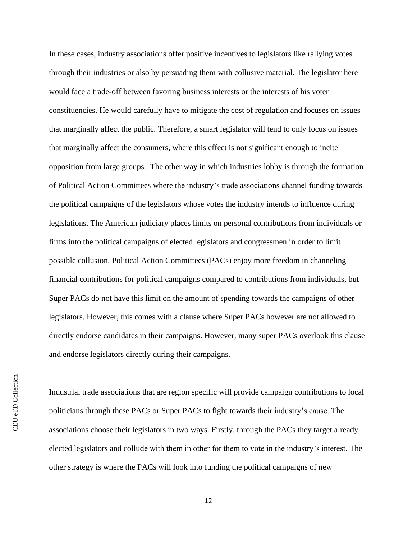In these cases, industry associations offer positive incentives to legislators like rallying votes through their industries or also by persuading them with collusive material. The legislator here would face a trade-off between favoring business interests or the interests of his voter constituencies. He would carefully have to mitigate the cost of regulation and focuses on issues that marginally affect the public. Therefore, a smart legislator will tend to only focus on issues that marginally affect the consumers, where this effect is not significant enough to incite opposition from large groups. The other way in which industries lobby is through the formation of Political Action Committees where the industry's trade associations channel funding towards the political campaigns of the legislators whose votes the industry intends to influence during legislations. The American judiciary places limits on personal contributions from individuals or firms into the political campaigns of elected legislators and congressmen in order to limit possible collusion. Political Action Committees (PACs) enjoy more freedom in channeling financial contributions for political campaigns compared to contributions from individuals, but Super PACs do not have this limit on the amount of spending towards the campaigns of other legislators. However, this comes with a clause where Super PACs however are not allowed to directly endorse candidates in their campaigns. However, many super PACs overlook this clause and endorse legislators directly during their campaigns.

Industrial trade associations that are region specific will provide campaign contributions to local politicians through these PACs or Super PACs to fight towards their industry's cause. The associations choose their legislators in two ways. Firstly, through the PACs they target already elected legislators and collude with them in other for them to vote in the industry's interest. The other strategy is where the PACs will look into funding the political campaigns of new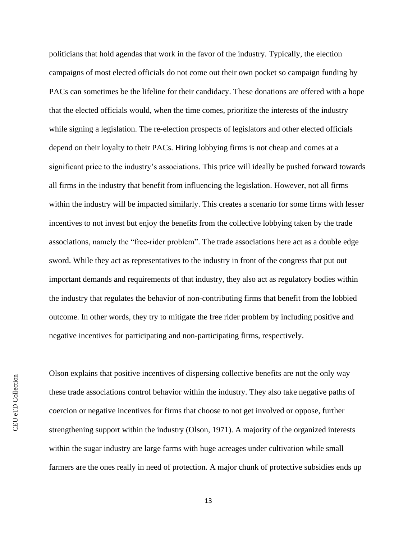politicians that hold agendas that work in the favor of the industry. Typically, the election campaigns of most elected officials do not come out their own pocket so campaign funding by PACs can sometimes be the lifeline for their candidacy. These donations are offered with a hope that the elected officials would, when the time comes, prioritize the interests of the industry while signing a legislation. The re-election prospects of legislators and other elected officials depend on their loyalty to their PACs. Hiring lobbying firms is not cheap and comes at a significant price to the industry's associations. This price will ideally be pushed forward towards all firms in the industry that benefit from influencing the legislation. However, not all firms within the industry will be impacted similarly. This creates a scenario for some firms with lesser incentives to not invest but enjoy the benefits from the collective lobbying taken by the trade associations, namely the "free-rider problem". The trade associations here act as a double edge sword. While they act as representatives to the industry in front of the congress that put out important demands and requirements of that industry, they also act as regulatory bodies within the industry that regulates the behavior of non-contributing firms that benefit from the lobbied outcome. In other words, they try to mitigate the free rider problem by including positive and negative incentives for participating and non-participating firms, respectively.

Olson explains that positive incentives of dispersing collective benefits are not the only way these trade associations control behavior within the industry. They also take negative paths of coercion or negative incentives for firms that choose to not get involved or oppose, further strengthening support within the industry (Olson, 1971). A majority of the organized interests within the sugar industry are large farms with huge acreages under cultivation while small farmers are the ones really in need of protection. A major chunk of protective subsidies ends up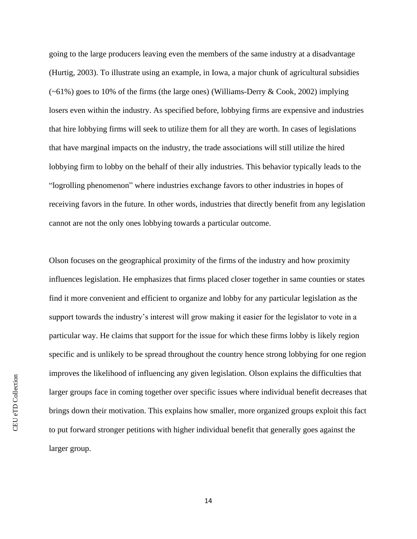going to the large producers leaving even the members of the same industry at a disadvantage (Hurtig, 2003). To illustrate using an example, in Iowa, a major chunk of agricultural subsidies  $(-61\%)$  goes to 10% of the firms (the large ones) (Williams-Derry & Cook, 2002) implying losers even within the industry. As specified before, lobbying firms are expensive and industries that hire lobbying firms will seek to utilize them for all they are worth. In cases of legislations that have marginal impacts on the industry, the trade associations will still utilize the hired lobbying firm to lobby on the behalf of their ally industries. This behavior typically leads to the "logrolling phenomenon" where industries exchange favors to other industries in hopes of receiving favors in the future. In other words, industries that directly benefit from any legislation cannot are not the only ones lobbying towards a particular outcome.

Olson focuses on the geographical proximity of the firms of the industry and how proximity influences legislation. He emphasizes that firms placed closer together in same counties or states find it more convenient and efficient to organize and lobby for any particular legislation as the support towards the industry's interest will grow making it easier for the legislator to vote in a particular way. He claims that support for the issue for which these firms lobby is likely region specific and is unlikely to be spread throughout the country hence strong lobbying for one region improves the likelihood of influencing any given legislation. Olson explains the difficulties that larger groups face in coming together over specific issues where individual benefit decreases that brings down their motivation. This explains how smaller, more organized groups exploit this fact to put forward stronger petitions with higher individual benefit that generally goes against the larger group.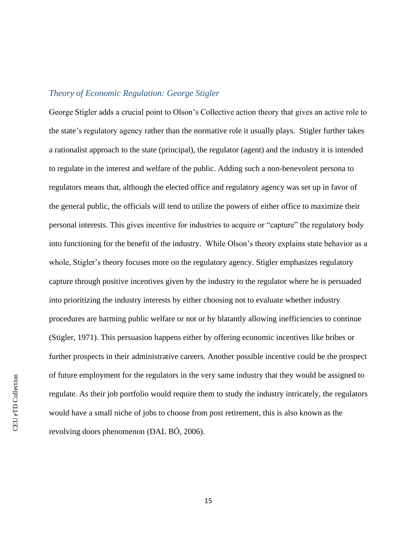### <span id="page-18-0"></span>*Theory of Economic Regulation: George Stigler*

George Stigler adds a crucial point to Olson's Collective action theory that gives an active role to the state's regulatory agency rather than the normative role it usually plays. Stigler further takes a rationalist approach to the state (principal), the regulator (agent) and the industry it is intended to regulate in the interest and welfare of the public. Adding such a non-benevolent persona to regulators means that, although the elected office and regulatory agency was set up in favor of the general public, the officials will tend to utilize the powers of either office to maximize their personal interests. This gives incentive for industries to acquire or "capture" the regulatory body into functioning for the benefit of the industry. While Olson's theory explains state behavior as a whole, Stigler's theory focuses more on the regulatory agency. Stigler emphasizes regulatory capture through positive incentives given by the industry to the regulator where he is persuaded into prioritizing the industry interests by either choosing not to evaluate whether industry procedures are harming public welfare or not or by blatantly allowing inefficiencies to continue (Stigler, 1971). This persuasion happens either by offering economic incentives like bribes or further prospects in their administrative careers. Another possible incentive could be the prospect of future employment for the regulators in the very same industry that they would be assigned to regulate. As their job portfolio would require them to study the industry intricately, the regulators would have a small niche of jobs to choose from post retirement, this is also known as the revolving doors phenomenon (DAL BÓ, 2006).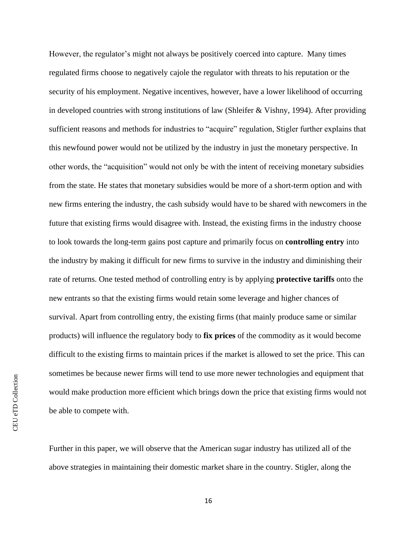However, the regulator's might not always be positively coerced into capture. Many times regulated firms choose to negatively cajole the regulator with threats to his reputation or the security of his employment. Negative incentives, however, have a lower likelihood of occurring in developed countries with strong institutions of law (Shleifer & Vishny, 1994). After providing sufficient reasons and methods for industries to "acquire" regulation, Stigler further explains that this newfound power would not be utilized by the industry in just the monetary perspective. In other words, the "acquisition" would not only be with the intent of receiving monetary subsidies from the state. He states that monetary subsidies would be more of a short-term option and with new firms entering the industry, the cash subsidy would have to be shared with newcomers in the future that existing firms would disagree with. Instead, the existing firms in the industry choose to look towards the long-term gains post capture and primarily focus on **controlling entry** into the industry by making it difficult for new firms to survive in the industry and diminishing their rate of returns. One tested method of controlling entry is by applying **protective tariffs** onto the new entrants so that the existing firms would retain some leverage and higher chances of survival. Apart from controlling entry, the existing firms (that mainly produce same or similar products) will influence the regulatory body to **fix prices** of the commodity as it would become difficult to the existing firms to maintain prices if the market is allowed to set the price. This can sometimes be because newer firms will tend to use more newer technologies and equipment that would make production more efficient which brings down the price that existing firms would not be able to compete with.

Further in this paper, we will observe that the American sugar industry has utilized all of the above strategies in maintaining their domestic market share in the country. Stigler, along the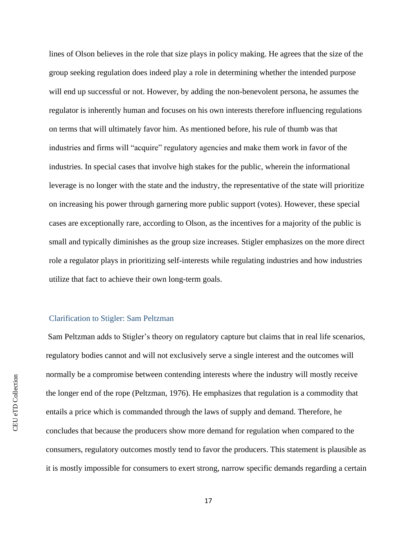lines of Olson believes in the role that size plays in policy making. He agrees that the size of the group seeking regulation does indeed play a role in determining whether the intended purpose will end up successful or not. However, by adding the non-benevolent persona, he assumes the regulator is inherently human and focuses on his own interests therefore influencing regulations on terms that will ultimately favor him. As mentioned before, his rule of thumb was that industries and firms will "acquire" regulatory agencies and make them work in favor of the industries. In special cases that involve high stakes for the public, wherein the informational leverage is no longer with the state and the industry, the representative of the state will prioritize on increasing his power through garnering more public support (votes). However, these special cases are exceptionally rare, according to Olson, as the incentives for a majority of the public is small and typically diminishes as the group size increases. Stigler emphasizes on the more direct role a regulator plays in prioritizing self-interests while regulating industries and how industries utilize that fact to achieve their own long-term goals.

#### <span id="page-20-0"></span>Clarification to Stigler: Sam Peltzman

Sam Peltzman adds to Stigler's theory on regulatory capture but claims that in real life scenarios, regulatory bodies cannot and will not exclusively serve a single interest and the outcomes will normally be a compromise between contending interests where the industry will mostly receive the longer end of the rope (Peltzman, 1976). He emphasizes that regulation is a commodity that entails a price which is commanded through the laws of supply and demand. Therefore, he concludes that because the producers show more demand for regulation when compared to the consumers, regulatory outcomes mostly tend to favor the producers. This statement is plausible as it is mostly impossible for consumers to exert strong, narrow specific demands regarding a certain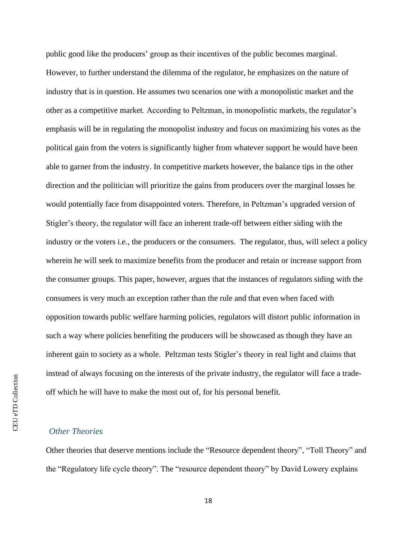public good like the producers' group as their incentives of the public becomes marginal. However, to further understand the dilemma of the regulator, he emphasizes on the nature of industry that is in question. He assumes two scenarios one with a monopolistic market and the other as a competitive market. According to Peltzman, in monopolistic markets, the regulator's emphasis will be in regulating the monopolist industry and focus on maximizing his votes as the political gain from the voters is significantly higher from whatever support he would have been able to garner from the industry. In competitive markets however, the balance tips in the other direction and the politician will prioritize the gains from producers over the marginal losses he would potentially face from disappointed voters. Therefore, in Peltzman's upgraded version of Stigler's theory, the regulator will face an inherent trade-off between either siding with the industry or the voters i.e., the producers or the consumers. The regulator, thus, will select a policy wherein he will seek to maximize benefits from the producer and retain or increase support from the consumer groups. This paper, however, argues that the instances of regulators siding with the consumers is very much an exception rather than the rule and that even when faced with opposition towards public welfare harming policies, regulators will distort public information in such a way where policies benefiting the producers will be showcased as though they have an inherent gain to society as a whole. Peltzman tests Stigler's theory in real light and claims that instead of always focusing on the interests of the private industry, the regulator will face a tradeoff which he will have to make the most out of, for his personal benefit.

#### <span id="page-21-0"></span>*Other Theories*

Other theories that deserve mentions include the "Resource dependent theory", "Toll Theory" and the "Regulatory life cycle theory". The "resource dependent theory" by David Lowery explains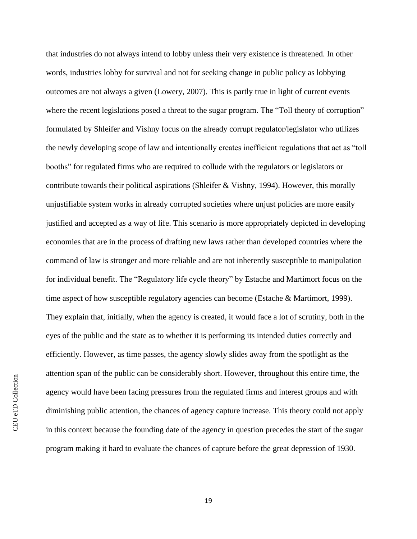that industries do not always intend to lobby unless their very existence is threatened. In other words, industries lobby for survival and not for seeking change in public policy as lobbying outcomes are not always a given (Lowery, 2007). This is partly true in light of current events where the recent legislations posed a threat to the sugar program. The "Toll theory of corruption" formulated by Shleifer and Vishny focus on the already corrupt regulator/legislator who utilizes the newly developing scope of law and intentionally creates inefficient regulations that act as "toll booths" for regulated firms who are required to collude with the regulators or legislators or contribute towards their political aspirations (Shleifer & Vishny, 1994). However, this morally unjustifiable system works in already corrupted societies where unjust policies are more easily justified and accepted as a way of life. This scenario is more appropriately depicted in developing economies that are in the process of drafting new laws rather than developed countries where the command of law is stronger and more reliable and are not inherently susceptible to manipulation for individual benefit. The "Regulatory life cycle theory" by Estache and Martimort focus on the time aspect of how susceptible regulatory agencies can become (Estache & Martimort, 1999). They explain that, initially, when the agency is created, it would face a lot of scrutiny, both in the eyes of the public and the state as to whether it is performing its intended duties correctly and efficiently. However, as time passes, the agency slowly slides away from the spotlight as the attention span of the public can be considerably short. However, throughout this entire time, the agency would have been facing pressures from the regulated firms and interest groups and with diminishing public attention, the chances of agency capture increase. This theory could not apply in this context because the founding date of the agency in question precedes the start of the sugar program making it hard to evaluate the chances of capture before the great depression of 1930.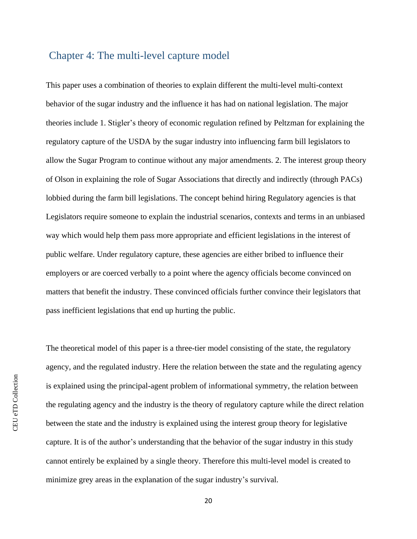### <span id="page-23-0"></span>Chapter 4: The multi-level capture model

This paper uses a combination of theories to explain different the multi-level multi-context behavior of the sugar industry and the influence it has had on national legislation. The major theories include 1. Stigler's theory of economic regulation refined by Peltzman for explaining the regulatory capture of the USDA by the sugar industry into influencing farm bill legislators to allow the Sugar Program to continue without any major amendments. 2. The interest group theory of Olson in explaining the role of Sugar Associations that directly and indirectly (through PACs) lobbied during the farm bill legislations. The concept behind hiring Regulatory agencies is that Legislators require someone to explain the industrial scenarios, contexts and terms in an unbiased way which would help them pass more appropriate and efficient legislations in the interest of public welfare. Under regulatory capture, these agencies are either bribed to influence their employers or are coerced verbally to a point where the agency officials become convinced on matters that benefit the industry. These convinced officials further convince their legislators that pass inefficient legislations that end up hurting the public.

The theoretical model of this paper is a three-tier model consisting of the state, the regulatory agency, and the regulated industry. Here the relation between the state and the regulating agency is explained using the principal-agent problem of informational symmetry, the relation between the regulating agency and the industry is the theory of regulatory capture while the direct relation between the state and the industry is explained using the interest group theory for legislative capture. It is of the author's understanding that the behavior of the sugar industry in this study cannot entirely be explained by a single theory. Therefore this multi-level model is created to minimize grey areas in the explanation of the sugar industry's survival.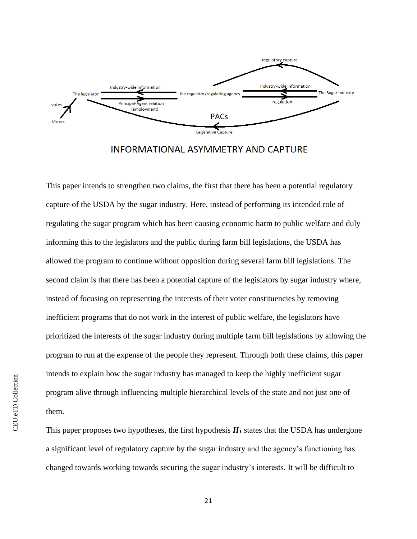

**INFORMATIONAL ASYMMETRY AND CAPTURE** 

This paper intends to strengthen two claims, the first that there has been a potential regulatory capture of the USDA by the sugar industry. Here, instead of performing its intended role of regulating the sugar program which has been causing economic harm to public welfare and duly informing this to the legislators and the public during farm bill legislations, the USDA has allowed the program to continue without opposition during several farm bill legislations. The second claim is that there has been a potential capture of the legislators by sugar industry where, instead of focusing on representing the interests of their voter constituencies by removing inefficient programs that do not work in the interest of public welfare, the legislators have prioritized the interests of the sugar industry during multiple farm bill legislations by allowing the program to run at the expense of the people they represent. Through both these claims, this paper intends to explain how the sugar industry has managed to keep the highly inefficient sugar program alive through influencing multiple hierarchical levels of the state and not just one of them.

This paper proposes two hypotheses, the first hypothesis  $H<sub>I</sub>$  states that the USDA has undergone a significant level of regulatory capture by the sugar industry and the agency's functioning has changed towards working towards securing the sugar industry's interests. It will be difficult to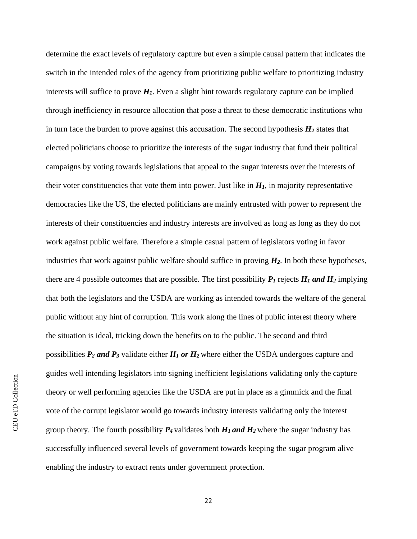determine the exact levels of regulatory capture but even a simple causal pattern that indicates the switch in the intended roles of the agency from prioritizing public welfare to prioritizing industry interests will suffice to prove  $H<sub>I</sub>$ . Even a slight hint towards regulatory capture can be implied through inefficiency in resource allocation that pose a threat to these democratic institutions who in turn face the burden to prove against this accusation. The second hypothesis  $H_2$  states that elected politicians choose to prioritize the interests of the sugar industry that fund their political campaigns by voting towards legislations that appeal to the sugar interests over the interests of their voter constituencies that vote them into power. Just like in  $H<sub>I</sub>$ , in majority representative democracies like the US, the elected politicians are mainly entrusted with power to represent the interests of their constituencies and industry interests are involved as long as long as they do not work against public welfare. Therefore a simple casual pattern of legislators voting in favor industries that work against public welfare should suffice in proving  $H_2$ . In both these hypotheses, there are 4 possible outcomes that are possible. The first possibility  $P_I$  rejects  $H_I$  and  $H_2$  implying that both the legislators and the USDA are working as intended towards the welfare of the general public without any hint of corruption. This work along the lines of public interest theory where the situation is ideal, tricking down the benefits on to the public. The second and third possibilities *P<sup>2</sup> and P<sup>3</sup>* validate either *H<sup>1</sup> or H2* where either the USDA undergoes capture and guides well intending legislators into signing inefficient legislations validating only the capture theory or well performing agencies like the USDA are put in place as a gimmick and the final vote of the corrupt legislator would go towards industry interests validating only the interest group theory. The fourth possibility  $P_4$  validates both  $H_1$  and  $H_2$  where the sugar industry has successfully influenced several levels of government towards keeping the sugar program alive enabling the industry to extract rents under government protection.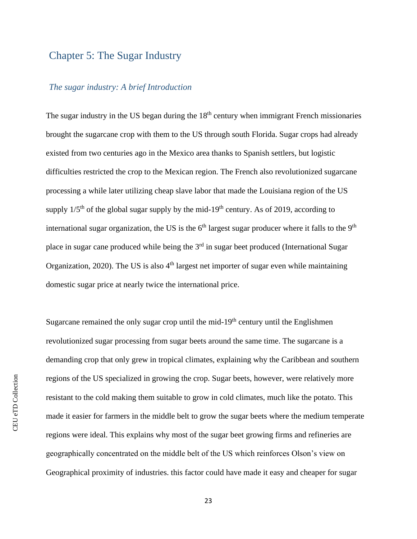# <span id="page-26-0"></span>Chapter 5: The Sugar Industry

### <span id="page-26-1"></span>*The sugar industry: A brief Introduction*

The sugar industry in the US began during the  $18<sup>th</sup>$  century when immigrant French missionaries brought the sugarcane crop with them to the US through south Florida. Sugar crops had already existed from two centuries ago in the Mexico area thanks to Spanish settlers, but logistic difficulties restricted the crop to the Mexican region. The French also revolutionized sugarcane processing a while later utilizing cheap slave labor that made the Louisiana region of the US supply  $1/5<sup>th</sup>$  of the global sugar supply by the mid-19<sup>th</sup> century. As of 2019, according to international sugar organization, the US is the  $6<sup>th</sup>$  largest sugar producer where it falls to the  $9<sup>th</sup>$ place in sugar cane produced while being the  $3<sup>rd</sup>$  in sugar beet produced (International Sugar Organization, 2020). The US is also  $4<sup>th</sup>$  largest net importer of sugar even while maintaining domestic sugar price at nearly twice the international price.

Sugarcane remained the only sugar crop until the mid-19<sup>th</sup> century until the Englishmen revolutionized sugar processing from sugar beets around the same time. The sugarcane is a demanding crop that only grew in tropical climates, explaining why the Caribbean and southern regions of the US specialized in growing the crop. Sugar beets, however, were relatively more resistant to the cold making them suitable to grow in cold climates, much like the potato. This made it easier for farmers in the middle belt to grow the sugar beets where the medium temperate regions were ideal. This explains why most of the sugar beet growing firms and refineries are geographically concentrated on the middle belt of the US which reinforces Olson's view on Geographical proximity of industries. this factor could have made it easy and cheaper for sugar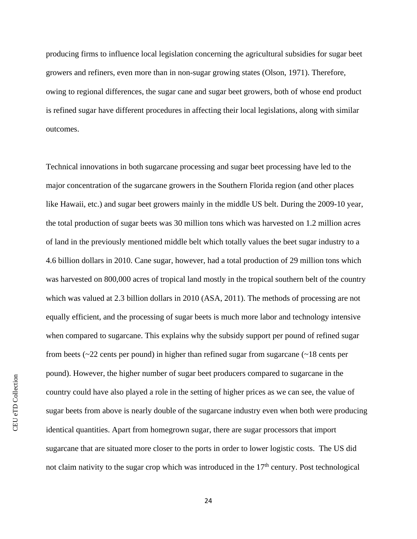producing firms to influence local legislation concerning the agricultural subsidies for sugar beet growers and refiners, even more than in non-sugar growing states (Olson, 1971). Therefore, owing to regional differences, the sugar cane and sugar beet growers, both of whose end product is refined sugar have different procedures in affecting their local legislations, along with similar outcomes.

Technical innovations in both sugarcane processing and sugar beet processing have led to the major concentration of the sugarcane growers in the Southern Florida region (and other places like Hawaii, etc.) and sugar beet growers mainly in the middle US belt. During the 2009-10 year, the total production of sugar beets was 30 million tons which was harvested on 1.2 million acres of land in the previously mentioned middle belt which totally values the beet sugar industry to a 4.6 billion dollars in 2010. Cane sugar, however, had a total production of 29 million tons which was harvested on 800,000 acres of tropical land mostly in the tropical southern belt of the country which was valued at 2.3 billion dollars in 2010 (ASA, 2011). The methods of processing are not equally efficient, and the processing of sugar beets is much more labor and technology intensive when compared to sugarcane. This explains why the subsidy support per pound of refined sugar from beets ( $\sim$ 22 cents per pound) in higher than refined sugar from sugarcane ( $\sim$ 18 cents per pound). However, the higher number of sugar beet producers compared to sugarcane in the country could have also played a role in the setting of higher prices as we can see, the value of sugar beets from above is nearly double of the sugarcane industry even when both were producing identical quantities. Apart from homegrown sugar, there are sugar processors that import sugarcane that are situated more closer to the ports in order to lower logistic costs. The US did not claim nativity to the sugar crop which was introduced in the  $17<sup>th</sup>$  century. Post technological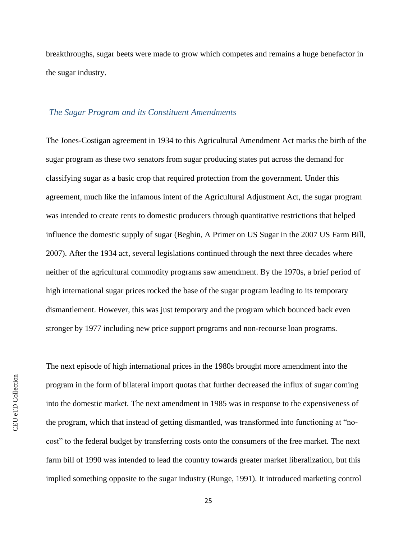breakthroughs, sugar beets were made to grow which competes and remains a huge benefactor in the sugar industry.

### <span id="page-28-0"></span>*The Sugar Program and its Constituent Amendments*

The Jones-Costigan agreement in 1934 to this Agricultural Amendment Act marks the birth of the sugar program as these two senators from sugar producing states put across the demand for classifying sugar as a basic crop that required protection from the government. Under this agreement, much like the infamous intent of the Agricultural Adjustment Act, the sugar program was intended to create rents to domestic producers through quantitative restrictions that helped influence the domestic supply of sugar (Beghin, A Primer on US Sugar in the 2007 US Farm Bill, 2007). After the 1934 act, several legislations continued through the next three decades where neither of the agricultural commodity programs saw amendment. By the 1970s, a brief period of high international sugar prices rocked the base of the sugar program leading to its temporary dismantlement. However, this was just temporary and the program which bounced back even stronger by 1977 including new price support programs and non-recourse loan programs.

The next episode of high international prices in the 1980s brought more amendment into the program in the form of bilateral import quotas that further decreased the influx of sugar coming into the domestic market. The next amendment in 1985 was in response to the expensiveness of the program, which that instead of getting dismantled, was transformed into functioning at "nocost" to the federal budget by transferring costs onto the consumers of the free market. The next farm bill of 1990 was intended to lead the country towards greater market liberalization, but this implied something opposite to the sugar industry (Runge, 1991). It introduced marketing control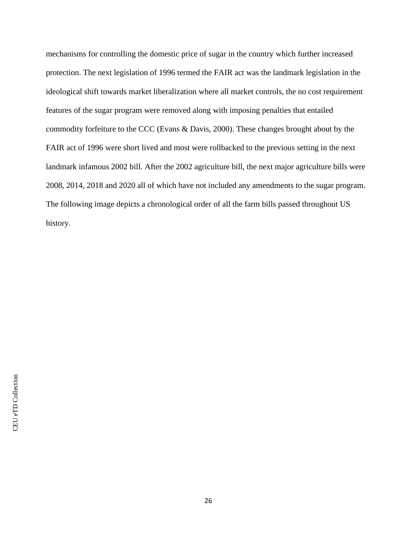mechanisms for controlling the domestic price of sugar in the country which further increased protection. The next legislation of 1996 termed the FAIR act was the landmark legislation in the ideological shift towards market liberalization where all market controls, the no cost requirement features of the sugar program were removed along with imposing penalties that entailed commodity forfeiture to the CCC (Evans & Davis, 2000). These changes brought about by the FAIR act of 1996 were short lived and most were rollbacked to the previous setting in the next landmark infamous 2002 bill. After the 2002 agriculture bill, the next major agriculture bills were 2008, 2014, 2018 and 2020 all of which have not included any amendments to the sugar program. The following image depicts a chronological order of all the farm bills passed throughout US history.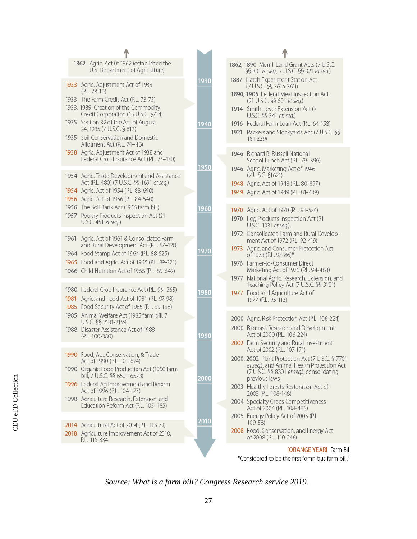| 1862 Agric. Act 0f 1862 (established the<br>U.S. Department of Agriculture)                                |      | 1862, 1890 Morrill Land Grant Acts (7 U.S.C.<br>§§ 301 et seq., 7 U.S.C. §§ 321 et seq.)                                             |
|------------------------------------------------------------------------------------------------------------|------|--------------------------------------------------------------------------------------------------------------------------------------|
| 1933 Agric. Adjustment Act of 1933<br>$(P.L. 73-10)$<br>1933 The Farm Credit Act (P.L. 73-75)              | 1930 | 1887 Hatch Experiment Station Act<br>(7 U.S.C. §§ 361a-361i)<br>1890, 1906 Federal Meat Inspection Act<br>(21 U.S.C. §§ 601 et seq.) |
| 1933, 1939 Creation of the Commodity<br>Credit Corporation (15 U.S.C. §714)                                |      | 1914 Smith-Lever Extension Act (7<br>U.S.C. §§ 341 et. seq.)                                                                         |
| 1935 Section 32 of the Act of August<br>24, 1935 (7 U.S.C. § 612)<br>1935 Soil Conservation and Domestic   | 1940 | 1916 Federal Farm Loan Act (P.L. 64-158)<br>1921 Packers and Stockyards Act (7 U.S.C. §§                                             |
| Allotment Act (P.L. 74-46)<br>1938 Agric. Adjustment Act of 1938 and                                       |      | 181-229)<br>1946 Richard B. Russell National                                                                                         |
| Federal Crop Insurance Act (P.L. 75-430)                                                                   | 1950 | School Lunch Act (P.L. 79-396)<br>1946 Agric. Marketing Act of 1946                                                                  |
| 1954 Agric. Trade Development and Assistance<br>Act (P.L. 480) (7 U.S.C. §§ 1691 et seq.)                  |      | (7 U.S.C. \$1621)<br>1948 Agric. Act of 1948 (P.L. 80-897)                                                                           |
| 1954 Agric. Act of 1954 (P.L. 83-690)<br>1956 Agric. Act of 1956 (P.L. 84-540)                             |      | 1949 Agric. Act of 1949 (P.L. 81-439)                                                                                                |
| 1956 The Soil Bank Act (1956 farm bill)<br>1957 Poultry Products Inspection Act (21<br>U.S.C. 451 et seq.) | 1960 | 1970 Agric. Act of 1970 (P.L. 91-524)<br>1970 Egg Products Inspection Act (21                                                        |
| 1961 Agric. Act of 1961 & Consolidated Farm                                                                |      | U.S.C. 1031 et seq.).<br>1972 Consolidated Farm and Rural Develop-<br>ment Act of 1972 (P.L. 92-419)                                 |
| and Rural Development Act (P.L. 87-128)<br>1964 Food Stamp Act of 1964 (P.L. 88-525)                       | 1970 | 1973 Agric. and Consumer Protection Act<br>of 1973 (P.L. 93-86)*                                                                     |
| 1965 Food and Agric. Act of 1965 (P.L. 89-321)<br>1966 Child Nutrition Act of 1966 (P.L. 89-642)           |      | 1976 Farmer-to-Consumer Direct<br>Marketing Act of 1976 (P.L. 94-463)                                                                |
| 1980 Federal Crop Insurance Act (P.L. 96-365)                                                              | 1980 | 1977 National Agric. Research, Extension, and<br>Teaching Policy Act (7 U.S.C. §§ 3101)<br>1977 Food and Agriculture Act of          |
| 1981 Agric. and Food Act of 1981 (P.L. 97-98)<br>1985 Food Security Act of 1985 (P.L. 99-198)              |      | 1977 (P.L. 95-113)                                                                                                                   |
| 1985 Animal Welfare Act (1985 farm bill, 7<br>U.S.C. §§ 2131-2159)                                         |      | 2000 Agric. Risk Protection Act (P.L. 106-224)<br>2000 Biomass Research and Development                                              |
| 1988 Disaster Assistance Act of 1988<br>(P.L. 100-380)                                                     | 1990 | Act of 2000 (P.L. 106-224)<br>2002 Farm Security and Rural Investment                                                                |
| 1990 Food, Ag., Conservation, & Trade<br>Act of 1990 (P.L. 101-624)                                        |      | Act of 2002 (P.L. 107-171)<br>2000, 2002 Plant Protection Act (7 U.S.C. § 7701                                                       |
| 1990 Organic Food Production Act (1990 farm<br>bill, 7 U.S.C. §§ 6501-6523)                                | 2000 | et seq.), and Animal Health Protection Act<br>(7 U.S.C. §§ 8301 et seq.), consolidating<br>previous laws                             |
| 1996 Federal Ag Improvement and Reform<br>Act of 1996 (P.L. 104-127)                                       |      | 2003 Healthy Forests Restoration Act of<br>2003 (P.L. 108-148)                                                                       |
| 1998 Agriculture Research, Extension, and<br>Education Reform Act (P.L. 105-185)                           |      | 2004 Specialty Crops Competitiveness<br>Act of 2004 (P.L. 108-465)                                                                   |
| 2014 Agricultural Act of 2014 (P.L. 113-79)                                                                | 2010 | 2005 Energy Policy Act of 2005 (P.L.<br>$109 - 58$                                                                                   |
| 2018 Agriculture Improvement Act of 2018,<br>P.L. 115-334                                                  |      | 2008 Food, Conservation, and Energy Act<br>of 2008 (P.L. 110-246)                                                                    |
|                                                                                                            |      | [ORANGE YEAR] Farm Bill<br>$*Considered to be the fact "annibue form bill"$                                                          |

#### \*Considered to be the first "omnibus farm bill."

*Source: What is a farm bill? Congress Research service 2019.*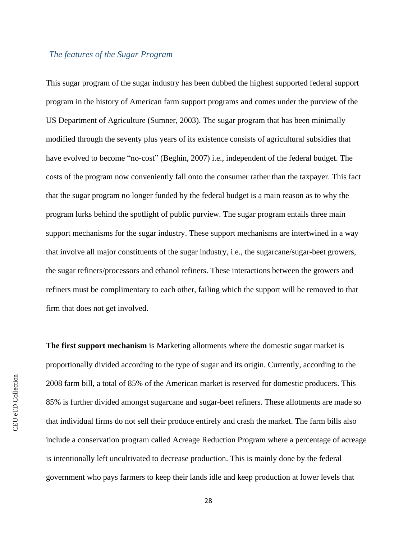### <span id="page-31-0"></span>*The features of the Sugar Program*

This sugar program of the sugar industry has been dubbed the highest supported federal support program in the history of American farm support programs and comes under the purview of the US Department of Agriculture (Sumner, 2003). The sugar program that has been minimally modified through the seventy plus years of its existence consists of agricultural subsidies that have evolved to become "no-cost" (Beghin, 2007) i.e., independent of the federal budget. The costs of the program now conveniently fall onto the consumer rather than the taxpayer. This fact that the sugar program no longer funded by the federal budget is a main reason as to why the program lurks behind the spotlight of public purview. The sugar program entails three main support mechanisms for the sugar industry. These support mechanisms are intertwined in a way that involve all major constituents of the sugar industry, i.e., the sugarcane/sugar-beet growers, the sugar refiners/processors and ethanol refiners. These interactions between the growers and refiners must be complimentary to each other, failing which the support will be removed to that firm that does not get involved.

**The first support mechanism** is Marketing allotments where the domestic sugar market is proportionally divided according to the type of sugar and its origin. Currently, according to the 2008 farm bill, a total of 85% of the American market is reserved for domestic producers. This 85% is further divided amongst sugarcane and sugar-beet refiners. These allotments are made so that individual firms do not sell their produce entirely and crash the market. The farm bills also include a conservation program called Acreage Reduction Program where a percentage of acreage is intentionally left uncultivated to decrease production. This is mainly done by the federal government who pays farmers to keep their lands idle and keep production at lower levels that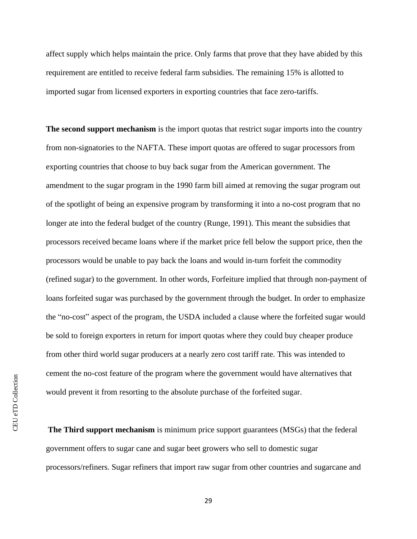affect supply which helps maintain the price. Only farms that prove that they have abided by this requirement are entitled to receive federal farm subsidies. The remaining 15% is allotted to imported sugar from licensed exporters in exporting countries that face zero-tariffs.

**The second support mechanism** is the import quotas that restrict sugar imports into the country from non-signatories to the NAFTA. These import quotas are offered to sugar processors from exporting countries that choose to buy back sugar from the American government. The amendment to the sugar program in the 1990 farm bill aimed at removing the sugar program out of the spotlight of being an expensive program by transforming it into a no-cost program that no longer ate into the federal budget of the country (Runge, 1991). This meant the subsidies that processors received became loans where if the market price fell below the support price, then the processors would be unable to pay back the loans and would in-turn forfeit the commodity (refined sugar) to the government. In other words, Forfeiture implied that through non-payment of loans forfeited sugar was purchased by the government through the budget. In order to emphasize the "no-cost" aspect of the program, the USDA included a clause where the forfeited sugar would be sold to foreign exporters in return for import quotas where they could buy cheaper produce from other third world sugar producers at a nearly zero cost tariff rate. This was intended to cement the no-cost feature of the program where the government would have alternatives that would prevent it from resorting to the absolute purchase of the forfeited sugar.

**The Third support mechanism** is minimum price support guarantees (MSGs) that the federal government offers to sugar cane and sugar beet growers who sell to domestic sugar processors/refiners. Sugar refiners that import raw sugar from other countries and sugarcane and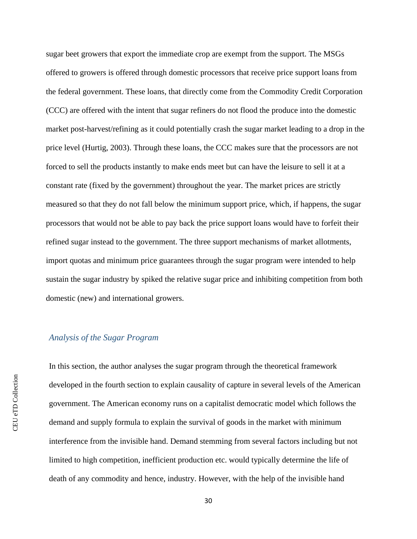sugar beet growers that export the immediate crop are exempt from the support. The MSGs offered to growers is offered through domestic processors that receive price support loans from the federal government. These loans, that directly come from the Commodity Credit Corporation (CCC) are offered with the intent that sugar refiners do not flood the produce into the domestic market post-harvest/refining as it could potentially crash the sugar market leading to a drop in the price level (Hurtig, 2003). Through these loans, the CCC makes sure that the processors are not forced to sell the products instantly to make ends meet but can have the leisure to sell it at a constant rate (fixed by the government) throughout the year. The market prices are strictly measured so that they do not fall below the minimum support price, which, if happens, the sugar processors that would not be able to pay back the price support loans would have to forfeit their refined sugar instead to the government. The three support mechanisms of market allotments, import quotas and minimum price guarantees through the sugar program were intended to help sustain the sugar industry by spiked the relative sugar price and inhibiting competition from both domestic (new) and international growers.

#### <span id="page-33-0"></span>*Analysis of the Sugar Program*

In this section, the author analyses the sugar program through the theoretical framework developed in the fourth section to explain causality of capture in several levels of the American government. The American economy runs on a capitalist democratic model which follows the demand and supply formula to explain the survival of goods in the market with minimum interference from the invisible hand. Demand stemming from several factors including but not limited to high competition, inefficient production etc. would typically determine the life of death of any commodity and hence, industry. However, with the help of the invisible hand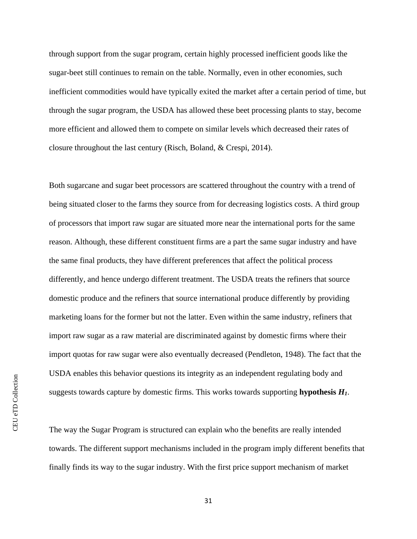through support from the sugar program, certain highly processed inefficient goods like the sugar-beet still continues to remain on the table. Normally, even in other economies, such inefficient commodities would have typically exited the market after a certain period of time, but through the sugar program, the USDA has allowed these beet processing plants to stay, become more efficient and allowed them to compete on similar levels which decreased their rates of closure throughout the last century (Risch, Boland, & Crespi, 2014).

Both sugarcane and sugar beet processors are scattered throughout the country with a trend of being situated closer to the farms they source from for decreasing logistics costs. A third group of processors that import raw sugar are situated more near the international ports for the same reason. Although, these different constituent firms are a part the same sugar industry and have the same final products, they have different preferences that affect the political process differently, and hence undergo different treatment. The USDA treats the refiners that source domestic produce and the refiners that source international produce differently by providing marketing loans for the former but not the latter. Even within the same industry, refiners that import raw sugar as a raw material are discriminated against by domestic firms where their import quotas for raw sugar were also eventually decreased (Pendleton, 1948). The fact that the USDA enables this behavior questions its integrity as an independent regulating body and suggests towards capture by domestic firms. This works towards supporting **hypothesis** *H1*.

The way the Sugar Program is structured can explain who the benefits are really intended towards. The different support mechanisms included in the program imply different benefits that finally finds its way to the sugar industry. With the first price support mechanism of market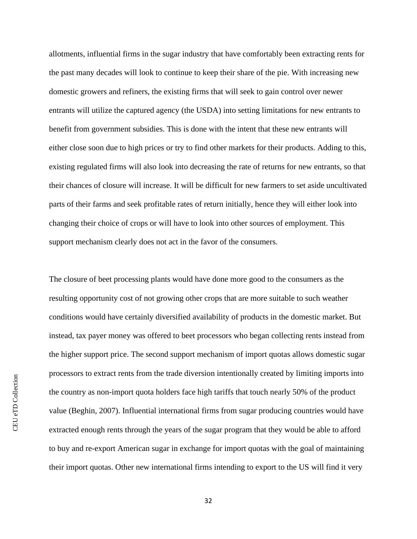allotments, influential firms in the sugar industry that have comfortably been extracting rents for the past many decades will look to continue to keep their share of the pie. With increasing new domestic growers and refiners, the existing firms that will seek to gain control over newer entrants will utilize the captured agency (the USDA) into setting limitations for new entrants to benefit from government subsidies. This is done with the intent that these new entrants will either close soon due to high prices or try to find other markets for their products. Adding to this, existing regulated firms will also look into decreasing the rate of returns for new entrants, so that their chances of closure will increase. It will be difficult for new farmers to set aside uncultivated parts of their farms and seek profitable rates of return initially, hence they will either look into changing their choice of crops or will have to look into other sources of employment. This support mechanism clearly does not act in the favor of the consumers.

The closure of beet processing plants would have done more good to the consumers as the resulting opportunity cost of not growing other crops that are more suitable to such weather conditions would have certainly diversified availability of products in the domestic market. But instead, tax payer money was offered to beet processors who began collecting rents instead from the higher support price. The second support mechanism of import quotas allows domestic sugar processors to extract rents from the trade diversion intentionally created by limiting imports into the country as non-import quota holders face high tariffs that touch nearly 50% of the product value (Beghin, 2007). Influential international firms from sugar producing countries would have extracted enough rents through the years of the sugar program that they would be able to afford to buy and re-export American sugar in exchange for import quotas with the goal of maintaining their import quotas. Other new international firms intending to export to the US will find it very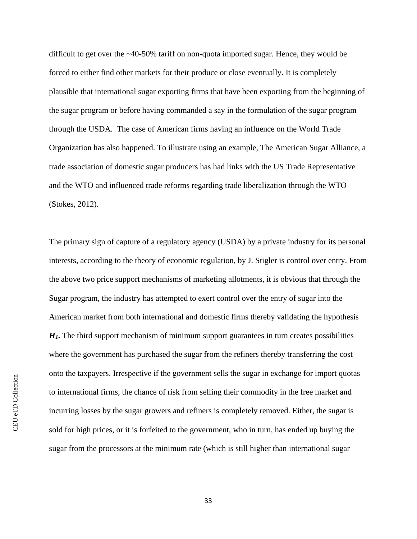difficult to get over the ~40-50% tariff on non-quota imported sugar. Hence, they would be forced to either find other markets for their produce or close eventually. It is completely plausible that international sugar exporting firms that have been exporting from the beginning of the sugar program or before having commanded a say in the formulation of the sugar program through the USDA. The case of American firms having an influence on the World Trade Organization has also happened. To illustrate using an example, The American Sugar Alliance, a trade association of domestic sugar producers has had links with the US Trade Representative and the WTO and influenced trade reforms regarding trade liberalization through the WTO (Stokes, 2012).

The primary sign of capture of a regulatory agency (USDA) by a private industry for its personal interests, according to the theory of economic regulation, by J. Stigler is control over entry. From the above two price support mechanisms of marketing allotments, it is obvious that through the Sugar program, the industry has attempted to exert control over the entry of sugar into the American market from both international and domestic firms thereby validating the hypothesis *H1***.** The third support mechanism of minimum support guarantees in turn creates possibilities where the government has purchased the sugar from the refiners thereby transferring the cost onto the taxpayers. Irrespective if the government sells the sugar in exchange for import quotas to international firms, the chance of risk from selling their commodity in the free market and incurring losses by the sugar growers and refiners is completely removed. Either, the sugar is sold for high prices, or it is forfeited to the government, who in turn, has ended up buying the sugar from the processors at the minimum rate (which is still higher than international sugar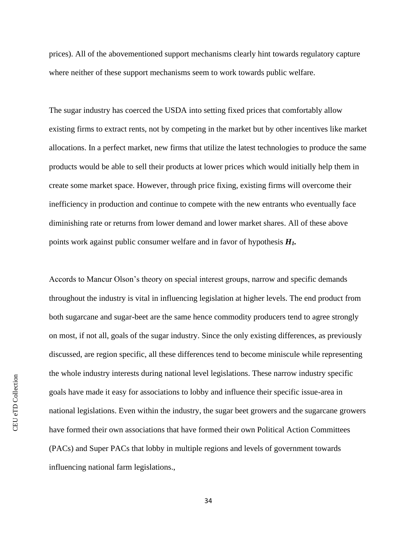prices). All of the abovementioned support mechanisms clearly hint towards regulatory capture where neither of these support mechanisms seem to work towards public welfare.

The sugar industry has coerced the USDA into setting fixed prices that comfortably allow existing firms to extract rents, not by competing in the market but by other incentives like market allocations. In a perfect market, new firms that utilize the latest technologies to produce the same products would be able to sell their products at lower prices which would initially help them in create some market space. However, through price fixing, existing firms will overcome their inefficiency in production and continue to compete with the new entrants who eventually face diminishing rate or returns from lower demand and lower market shares. All of these above points work against public consumer welfare and in favor of hypothesis *H1.*

Accords to Mancur Olson's theory on special interest groups, narrow and specific demands throughout the industry is vital in influencing legislation at higher levels. The end product from both sugarcane and sugar-beet are the same hence commodity producers tend to agree strongly on most, if not all, goals of the sugar industry. Since the only existing differences, as previously discussed, are region specific, all these differences tend to become miniscule while representing the whole industry interests during national level legislations. These narrow industry specific goals have made it easy for associations to lobby and influence their specific issue-area in national legislations. Even within the industry, the sugar beet growers and the sugarcane growers have formed their own associations that have formed their own Political Action Committees (PACs) and Super PACs that lobby in multiple regions and levels of government towards influencing national farm legislations.,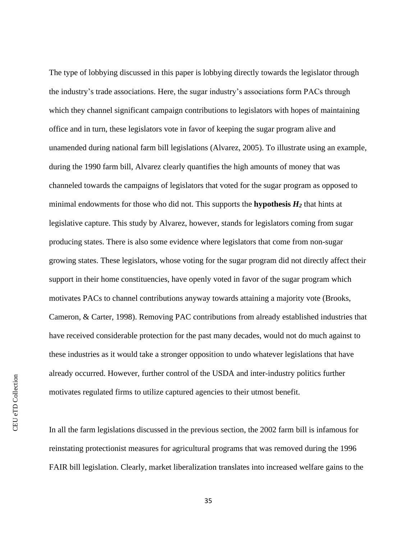The type of lobbying discussed in this paper is lobbying directly towards the legislator through the industry's trade associations. Here, the sugar industry's associations form PACs through which they channel significant campaign contributions to legislators with hopes of maintaining office and in turn, these legislators vote in favor of keeping the sugar program alive and unamended during national farm bill legislations (Alvarez, 2005). To illustrate using an example, during the 1990 farm bill, Alvarez clearly quantifies the high amounts of money that was channeled towards the campaigns of legislators that voted for the sugar program as opposed to minimal endowments for those who did not. This supports the **hypothesis** *H<sup>2</sup>* that hints at legislative capture. This study by Alvarez, however, stands for legislators coming from sugar producing states. There is also some evidence where legislators that come from non-sugar growing states. These legislators, whose voting for the sugar program did not directly affect their support in their home constituencies, have openly voted in favor of the sugar program which motivates PACs to channel contributions anyway towards attaining a majority vote (Brooks, Cameron, & Carter, 1998). Removing PAC contributions from already established industries that have received considerable protection for the past many decades, would not do much against to these industries as it would take a stronger opposition to undo whatever legislations that have already occurred. However, further control of the USDA and inter-industry politics further motivates regulated firms to utilize captured agencies to their utmost benefit.

In all the farm legislations discussed in the previous section, the 2002 farm bill is infamous for reinstating protectionist measures for agricultural programs that was removed during the 1996 FAIR bill legislation. Clearly, market liberalization translates into increased welfare gains to the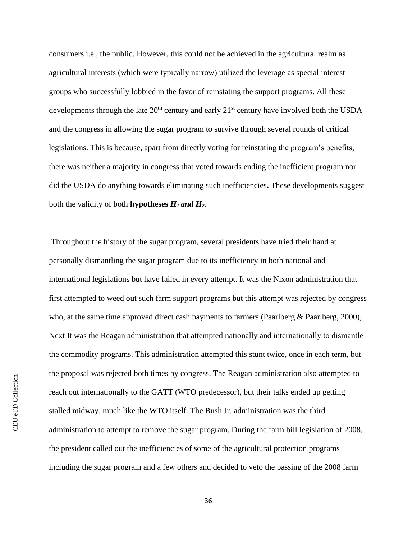consumers i.e., the public. However, this could not be achieved in the agricultural realm as agricultural interests (which were typically narrow) utilized the leverage as special interest groups who successfully lobbied in the favor of reinstating the support programs. All these developments through the late  $20<sup>th</sup>$  century and early  $21<sup>st</sup>$  century have involved both the USDA and the congress in allowing the sugar program to survive through several rounds of critical legislations. This is because, apart from directly voting for reinstating the program's benefits, there was neither a majority in congress that voted towards ending the inefficient program nor did the USDA do anything towards eliminating such inefficiencies**.** These developments suggest both the validity of both **hypotheses** *H1 and H2*.

Throughout the history of the sugar program, several presidents have tried their hand at personally dismantling the sugar program due to its inefficiency in both national and international legislations but have failed in every attempt. It was the Nixon administration that first attempted to weed out such farm support programs but this attempt was rejected by congress who, at the same time approved direct cash payments to farmers (Paarlberg & Paarlberg, 2000), Next It was the Reagan administration that attempted nationally and internationally to dismantle the commodity programs. This administration attempted this stunt twice, once in each term, but the proposal was rejected both times by congress. The Reagan administration also attempted to reach out internationally to the GATT (WTO predecessor), but their talks ended up getting stalled midway, much like the WTO itself. The Bush Jr. administration was the third administration to attempt to remove the sugar program. During the farm bill legislation of 2008, the president called out the inefficiencies of some of the agricultural protection programs including the sugar program and a few others and decided to veto the passing of the 2008 farm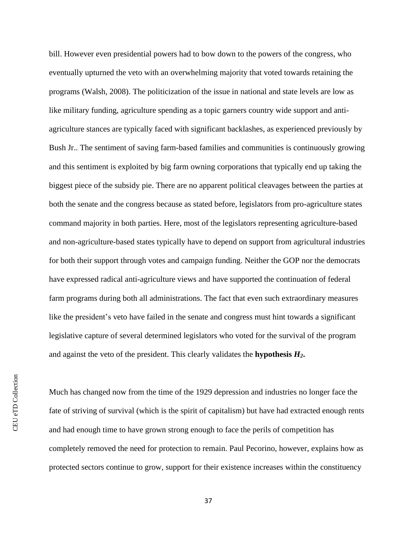bill. However even presidential powers had to bow down to the powers of the congress, who eventually upturned the veto with an overwhelming majority that voted towards retaining the programs (Walsh, 2008). The politicization of the issue in national and state levels are low as like military funding, agriculture spending as a topic garners country wide support and antiagriculture stances are typically faced with significant backlashes, as experienced previously by Bush Jr.. The sentiment of saving farm-based families and communities is continuously growing and this sentiment is exploited by big farm owning corporations that typically end up taking the biggest piece of the subsidy pie. There are no apparent political cleavages between the parties at both the senate and the congress because as stated before, legislators from pro-agriculture states command majority in both parties. Here, most of the legislators representing agriculture-based and non-agriculture-based states typically have to depend on support from agricultural industries for both their support through votes and campaign funding. Neither the GOP nor the democrats have expressed radical anti-agriculture views and have supported the continuation of federal farm programs during both all administrations. The fact that even such extraordinary measures like the president's veto have failed in the senate and congress must hint towards a significant legislative capture of several determined legislators who voted for the survival of the program and against the veto of the president. This clearly validates the **hypothesis** *H2***.**

**CEU** eTD Collection CEU eTD Collection

Much has changed now from the time of the 1929 depression and industries no longer face the fate of striving of survival (which is the spirit of capitalism) but have had extracted enough rents and had enough time to have grown strong enough to face the perils of competition has completely removed the need for protection to remain. Paul Pecorino, however, explains how as protected sectors continue to grow, support for their existence increases within the constituency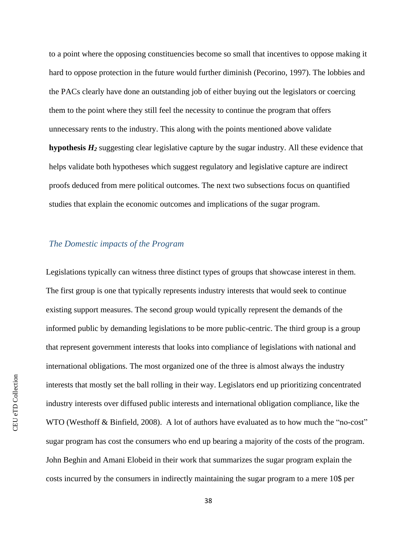to a point where the opposing constituencies become so small that incentives to oppose making it hard to oppose protection in the future would further diminish (Pecorino, 1997). The lobbies and the PACs clearly have done an outstanding job of either buying out the legislators or coercing them to the point where they still feel the necessity to continue the program that offers unnecessary rents to the industry. This along with the points mentioned above validate **hypothesis** *H<sup>2</sup>* suggesting clear legislative capture by the sugar industry. All these evidence that helps validate both hypotheses which suggest regulatory and legislative capture are indirect proofs deduced from mere political outcomes. The next two subsections focus on quantified studies that explain the economic outcomes and implications of the sugar program.

### <span id="page-41-0"></span>*The Domestic impacts of the Program*

Legislations typically can witness three distinct types of groups that showcase interest in them. The first group is one that typically represents industry interests that would seek to continue existing support measures. The second group would typically represent the demands of the informed public by demanding legislations to be more public-centric. The third group is a group that represent government interests that looks into compliance of legislations with national and international obligations. The most organized one of the three is almost always the industry interests that mostly set the ball rolling in their way. Legislators end up prioritizing concentrated industry interests over diffused public interests and international obligation compliance, like the WTO (Westhoff & Binfield, 2008). A lot of authors have evaluated as to how much the "no-cost" sugar program has cost the consumers who end up bearing a majority of the costs of the program. John Beghin and Amani Elobeid in their work that summarizes the sugar program explain the costs incurred by the consumers in indirectly maintaining the sugar program to a mere 10\$ per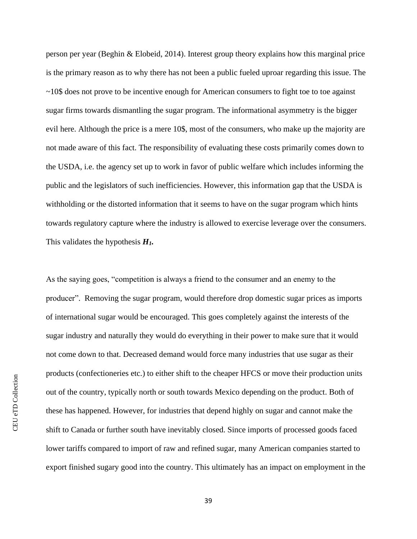person per year (Beghin & Elobeid, 2014). Interest group theory explains how this marginal price is the primary reason as to why there has not been a public fueled uproar regarding this issue. The  $\sim$ 10\$ does not prove to be incentive enough for American consumers to fight toe to toe against sugar firms towards dismantling the sugar program. The informational asymmetry is the bigger evil here. Although the price is a mere 10\$, most of the consumers, who make up the majority are not made aware of this fact. The responsibility of evaluating these costs primarily comes down to the USDA, i.e. the agency set up to work in favor of public welfare which includes informing the public and the legislators of such inefficiencies. However, this information gap that the USDA is withholding or the distorted information that it seems to have on the sugar program which hints towards regulatory capture where the industry is allowed to exercise leverage over the consumers. This validates the hypothesis *H1.* 

As the saying goes, "competition is always a friend to the consumer and an enemy to the producer". Removing the sugar program, would therefore drop domestic sugar prices as imports of international sugar would be encouraged. This goes completely against the interests of the sugar industry and naturally they would do everything in their power to make sure that it would not come down to that. Decreased demand would force many industries that use sugar as their products (confectioneries etc.) to either shift to the cheaper HFCS or move their production units out of the country, typically north or south towards Mexico depending on the product. Both of these has happened. However, for industries that depend highly on sugar and cannot make the shift to Canada or further south have inevitably closed. Since imports of processed goods faced lower tariffs compared to import of raw and refined sugar, many American companies started to export finished sugary good into the country. This ultimately has an impact on employment in the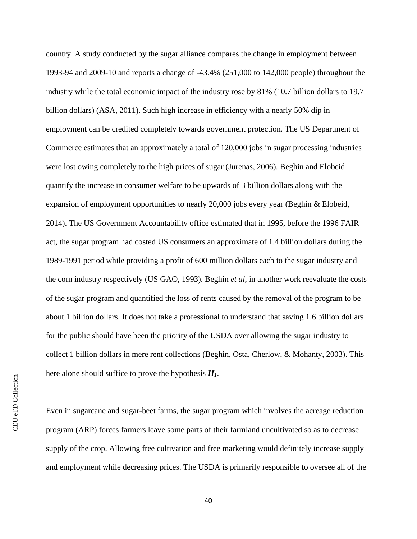country. A study conducted by the sugar alliance compares the change in employment between 1993-94 and 2009-10 and reports a change of -43.4% (251,000 to 142,000 people) throughout the industry while the total economic impact of the industry rose by 81% (10.7 billion dollars to 19.7 billion dollars) (ASA, 2011). Such high increase in efficiency with a nearly 50% dip in employment can be credited completely towards government protection. The US Department of Commerce estimates that an approximately a total of 120,000 jobs in sugar processing industries were lost owing completely to the high prices of sugar (Jurenas, 2006). Beghin and Elobeid quantify the increase in consumer welfare to be upwards of 3 billion dollars along with the expansion of employment opportunities to nearly 20,000 jobs every year (Beghin & Elobeid, 2014). The US Government Accountability office estimated that in 1995, before the 1996 FAIR act, the sugar program had costed US consumers an approximate of 1.4 billion dollars during the 1989-1991 period while providing a profit of 600 million dollars each to the sugar industry and the corn industry respectively (US GAO, 1993). Beghin *et al*, in another work reevaluate the costs of the sugar program and quantified the loss of rents caused by the removal of the program to be about 1 billion dollars. It does not take a professional to understand that saving 1.6 billion dollars for the public should have been the priority of the USDA over allowing the sugar industry to collect 1 billion dollars in mere rent collections (Beghin, Osta, Cherlow, & Mohanty, 2003). This here alone should suffice to prove the hypothesis *H1*.

CEU eTD Collection CEU eTD Collection

Even in sugarcane and sugar-beet farms, the sugar program which involves the acreage reduction program (ARP) forces farmers leave some parts of their farmland uncultivated so as to decrease supply of the crop. Allowing free cultivation and free marketing would definitely increase supply and employment while decreasing prices. The USDA is primarily responsible to oversee all of the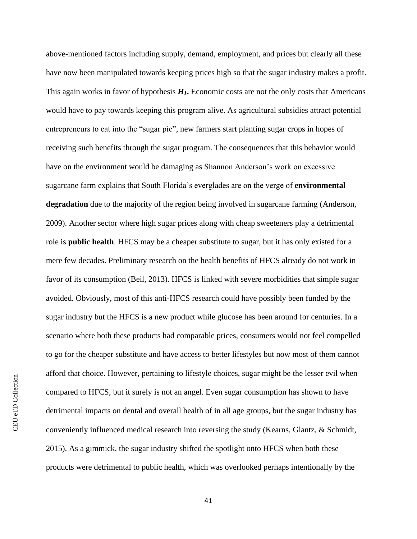above-mentioned factors including supply, demand, employment, and prices but clearly all these have now been manipulated towards keeping prices high so that the sugar industry makes a profit. This again works in favor of hypothesis  $H_I$ . Economic costs are not the only costs that Americans would have to pay towards keeping this program alive. As agricultural subsidies attract potential entrepreneurs to eat into the "sugar pie", new farmers start planting sugar crops in hopes of receiving such benefits through the sugar program. The consequences that this behavior would have on the environment would be damaging as Shannon Anderson's work on excessive sugarcane farm explains that South Florida's everglades are on the verge of **environmental degradation** due to the majority of the region being involved in sugarcane farming (Anderson, 2009). Another sector where high sugar prices along with cheap sweeteners play a detrimental role is **public health**. HFCS may be a cheaper substitute to sugar, but it has only existed for a mere few decades. Preliminary research on the health benefits of HFCS already do not work in favor of its consumption (Beil, 2013). HFCS is linked with severe morbidities that simple sugar avoided. Obviously, most of this anti-HFCS research could have possibly been funded by the sugar industry but the HFCS is a new product while glucose has been around for centuries. In a scenario where both these products had comparable prices, consumers would not feel compelled to go for the cheaper substitute and have access to better lifestyles but now most of them cannot afford that choice. However, pertaining to lifestyle choices, sugar might be the lesser evil when compared to HFCS, but it surely is not an angel. Even sugar consumption has shown to have detrimental impacts on dental and overall health of in all age groups, but the sugar industry has conveniently influenced medical research into reversing the study (Kearns, Glantz, & Schmidt, 2015). As a gimmick, the sugar industry shifted the spotlight onto HFCS when both these products were detrimental to public health, which was overlooked perhaps intentionally by the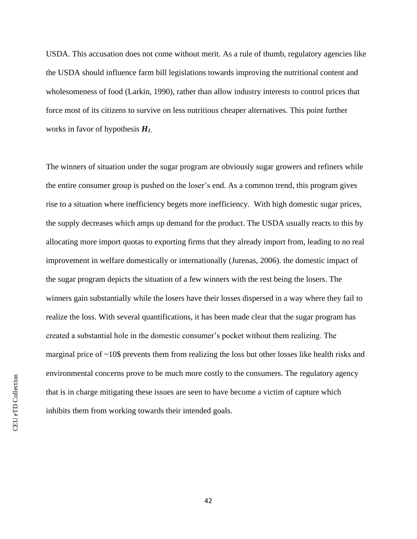USDA. This accusation does not come without merit. As a rule of thumb, regulatory agencies like the USDA should influence farm bill legislations towards improving the nutritional content and wholesomeness of food (Larkin, 1990), rather than allow industry interests to control prices that force most of its citizens to survive on less nutritious cheaper alternatives. This point further works in favor of hypothesis *H1.*

The winners of situation under the sugar program are obviously sugar growers and refiners while the entire consumer group is pushed on the loser's end. As a common trend, this program gives rise to a situation where inefficiency begets more inefficiency. With high domestic sugar prices, the supply decreases which amps up demand for the product. The USDA usually reacts to this by allocating more import quotas to exporting firms that they already import from, leading to no real improvement in welfare domestically or internationally (Jurenas, 2006). the domestic impact of the sugar program depicts the situation of a few winners with the rest being the losers. The winners gain substantially while the losers have their losses dispersed in a way where they fail to realize the loss. With several quantifications, it has been made clear that the sugar program has created a substantial hole in the domestic consumer's pocket without them realizing. The marginal price of ~10\$ prevents them from realizing the loss but other losses like health risks and environmental concerns prove to be much more costly to the consumers. The regulatory agency that is in charge mitigating these issues are seen to have become a victim of capture which inhibits them from working towards their intended goals.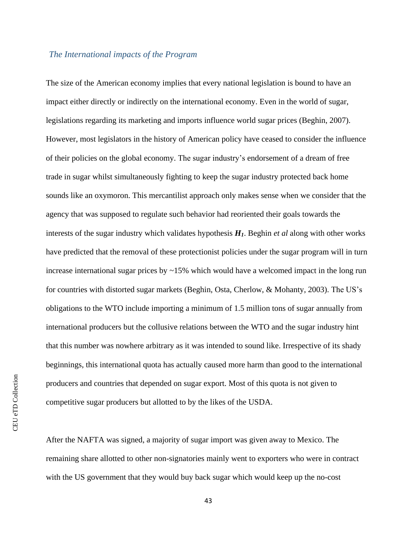#### <span id="page-46-0"></span>*The International impacts of the Program*

The size of the American economy implies that every national legislation is bound to have an impact either directly or indirectly on the international economy. Even in the world of sugar, legislations regarding its marketing and imports influence world sugar prices (Beghin, 2007). However, most legislators in the history of American policy have ceased to consider the influence of their policies on the global economy. The sugar industry's endorsement of a dream of free trade in sugar whilst simultaneously fighting to keep the sugar industry protected back home sounds like an oxymoron. This mercantilist approach only makes sense when we consider that the agency that was supposed to regulate such behavior had reoriented their goals towards the interests of the sugar industry which validates hypothesis *H1*. Beghin *et al* along with other works have predicted that the removal of these protectionist policies under the sugar program will in turn increase international sugar prices by  $\sim$ 15% which would have a welcomed impact in the long run for countries with distorted sugar markets (Beghin, Osta, Cherlow, & Mohanty, 2003). The US's obligations to the WTO include importing a minimum of 1.5 million tons of sugar annually from international producers but the collusive relations between the WTO and the sugar industry hint that this number was nowhere arbitrary as it was intended to sound like. Irrespective of its shady beginnings, this international quota has actually caused more harm than good to the international producers and countries that depended on sugar export. Most of this quota is not given to competitive sugar producers but allotted to by the likes of the USDA.

After the NAFTA was signed, a majority of sugar import was given away to Mexico. The remaining share allotted to other non-signatories mainly went to exporters who were in contract with the US government that they would buy back sugar which would keep up the no-cost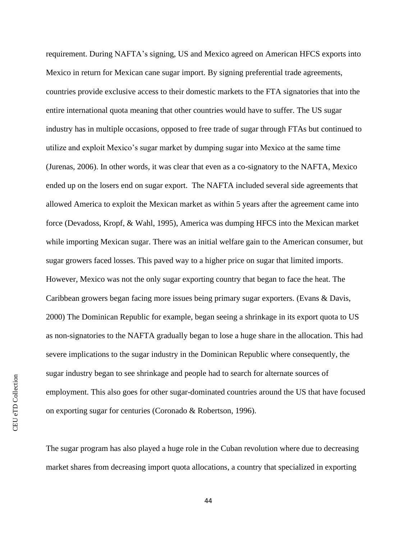requirement. During NAFTA's signing, US and Mexico agreed on American HFCS exports into Mexico in return for Mexican cane sugar import. By signing preferential trade agreements, countries provide exclusive access to their domestic markets to the FTA signatories that into the entire international quota meaning that other countries would have to suffer. The US sugar industry has in multiple occasions, opposed to free trade of sugar through FTAs but continued to utilize and exploit Mexico's sugar market by dumping sugar into Mexico at the same time (Jurenas, 2006). In other words, it was clear that even as a co-signatory to the NAFTA, Mexico ended up on the losers end on sugar export. The NAFTA included several side agreements that allowed America to exploit the Mexican market as within 5 years after the agreement came into force (Devadoss, Kropf, & Wahl, 1995), America was dumping HFCS into the Mexican market while importing Mexican sugar. There was an initial welfare gain to the American consumer, but sugar growers faced losses. This paved way to a higher price on sugar that limited imports. However, Mexico was not the only sugar exporting country that began to face the heat. The Caribbean growers began facing more issues being primary sugar exporters. (Evans & Davis, 2000) The Dominican Republic for example, began seeing a shrinkage in its export quota to US as non-signatories to the NAFTA gradually began to lose a huge share in the allocation. This had severe implications to the sugar industry in the Dominican Republic where consequently, the sugar industry began to see shrinkage and people had to search for alternate sources of employment. This also goes for other sugar-dominated countries around the US that have focused on exporting sugar for centuries (Coronado & Robertson, 1996).

The sugar program has also played a huge role in the Cuban revolution where due to decreasing market shares from decreasing import quota allocations, a country that specialized in exporting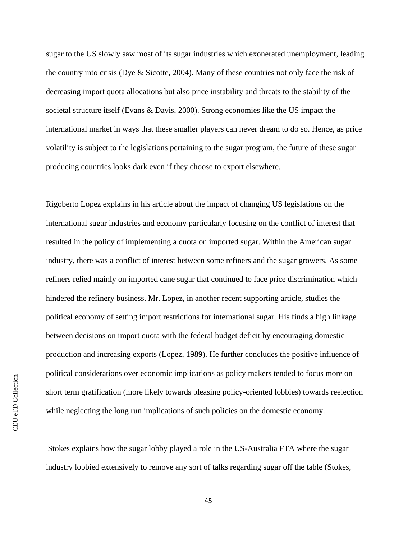sugar to the US slowly saw most of its sugar industries which exonerated unemployment, leading the country into crisis (Dye & Sicotte, 2004). Many of these countries not only face the risk of decreasing import quota allocations but also price instability and threats to the stability of the societal structure itself (Evans & Davis, 2000). Strong economies like the US impact the international market in ways that these smaller players can never dream to do so. Hence, as price volatility is subject to the legislations pertaining to the sugar program, the future of these sugar producing countries looks dark even if they choose to export elsewhere.

Rigoberto Lopez explains in his article about the impact of changing US legislations on the international sugar industries and economy particularly focusing on the conflict of interest that resulted in the policy of implementing a quota on imported sugar. Within the American sugar industry, there was a conflict of interest between some refiners and the sugar growers. As some refiners relied mainly on imported cane sugar that continued to face price discrimination which hindered the refinery business. Mr. Lopez, in another recent supporting article, studies the political economy of setting import restrictions for international sugar. His finds a high linkage between decisions on import quota with the federal budget deficit by encouraging domestic production and increasing exports (Lopez, 1989). He further concludes the positive influence of political considerations over economic implications as policy makers tended to focus more on short term gratification (more likely towards pleasing policy-oriented lobbies) towards reelection while neglecting the long run implications of such policies on the domestic economy.

Stokes explains how the sugar lobby played a role in the US-Australia FTA where the sugar industry lobbied extensively to remove any sort of talks regarding sugar off the table (Stokes,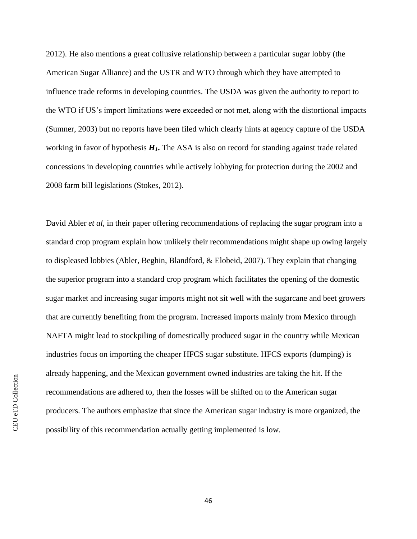2012). He also mentions a great collusive relationship between a particular sugar lobby (the American Sugar Alliance) and the USTR and WTO through which they have attempted to influence trade reforms in developing countries. The USDA was given the authority to report to the WTO if US's import limitations were exceeded or not met, along with the distortional impacts (Sumner, 2003) but no reports have been filed which clearly hints at agency capture of the USDA working in favor of hypothesis *H1***.** The ASA is also on record for standing against trade related concessions in developing countries while actively lobbying for protection during the 2002 and 2008 farm bill legislations (Stokes, 2012).

David Abler *et al*, in their paper offering recommendations of replacing the sugar program into a standard crop program explain how unlikely their recommendations might shape up owing largely to displeased lobbies (Abler, Beghin, Blandford, & Elobeid, 2007). They explain that changing the superior program into a standard crop program which facilitates the opening of the domestic sugar market and increasing sugar imports might not sit well with the sugarcane and beet growers that are currently benefiting from the program. Increased imports mainly from Mexico through NAFTA might lead to stockpiling of domestically produced sugar in the country while Mexican industries focus on importing the cheaper HFCS sugar substitute. HFCS exports (dumping) is already happening, and the Mexican government owned industries are taking the hit. If the recommendations are adhered to, then the losses will be shifted on to the American sugar producers. The authors emphasize that since the American sugar industry is more organized, the possibility of this recommendation actually getting implemented is low.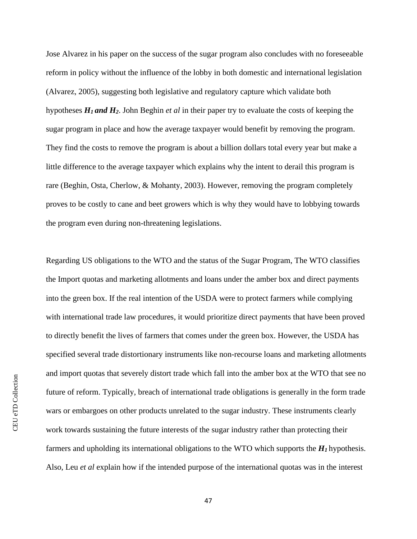Jose Alvarez in his paper on the success of the sugar program also concludes with no foreseeable reform in policy without the influence of the lobby in both domestic and international legislation (Alvarez, 2005), suggesting both legislative and regulatory capture which validate both hypotheses *H<sup>1</sup> and H2*. John Beghin *et al* in their paper try to evaluate the costs of keeping the sugar program in place and how the average taxpayer would benefit by removing the program. They find the costs to remove the program is about a billion dollars total every year but make a little difference to the average taxpayer which explains why the intent to derail this program is rare (Beghin, Osta, Cherlow, & Mohanty, 2003). However, removing the program completely proves to be costly to cane and beet growers which is why they would have to lobbying towards the program even during non-threatening legislations.

Regarding US obligations to the WTO and the status of the Sugar Program, The WTO classifies the Import quotas and marketing allotments and loans under the amber box and direct payments into the green box. If the real intention of the USDA were to protect farmers while complying with international trade law procedures, it would prioritize direct payments that have been proved to directly benefit the lives of farmers that comes under the green box. However, the USDA has specified several trade distortionary instruments like non-recourse loans and marketing allotments and import quotas that severely distort trade which fall into the amber box at the WTO that see no future of reform. Typically, breach of international trade obligations is generally in the form trade wars or embargoes on other products unrelated to the sugar industry. These instruments clearly work towards sustaining the future interests of the sugar industry rather than protecting their farmers and upholding its international obligations to the WTO which supports the  $H_I$  hypothesis. Also, Leu *et al* explain how if the intended purpose of the international quotas was in the interest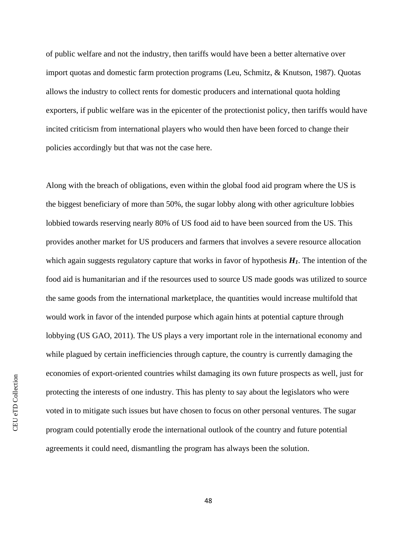of public welfare and not the industry, then tariffs would have been a better alternative over import quotas and domestic farm protection programs (Leu, Schmitz, & Knutson, 1987). Quotas allows the industry to collect rents for domestic producers and international quota holding exporters, if public welfare was in the epicenter of the protectionist policy, then tariffs would have incited criticism from international players who would then have been forced to change their policies accordingly but that was not the case here.

Along with the breach of obligations, even within the global food aid program where the US is the biggest beneficiary of more than 50%, the sugar lobby along with other agriculture lobbies lobbied towards reserving nearly 80% of US food aid to have been sourced from the US. This provides another market for US producers and farmers that involves a severe resource allocation which again suggests regulatory capture that works in favor of hypothesis  $H<sub>1</sub>$ . The intention of the food aid is humanitarian and if the resources used to source US made goods was utilized to source the same goods from the international marketplace, the quantities would increase multifold that would work in favor of the intended purpose which again hints at potential capture through lobbying (US GAO, 2011). The US plays a very important role in the international economy and while plagued by certain inefficiencies through capture, the country is currently damaging the economies of export-oriented countries whilst damaging its own future prospects as well, just for protecting the interests of one industry. This has plenty to say about the legislators who were voted in to mitigate such issues but have chosen to focus on other personal ventures. The sugar program could potentially erode the international outlook of the country and future potential agreements it could need, dismantling the program has always been the solution.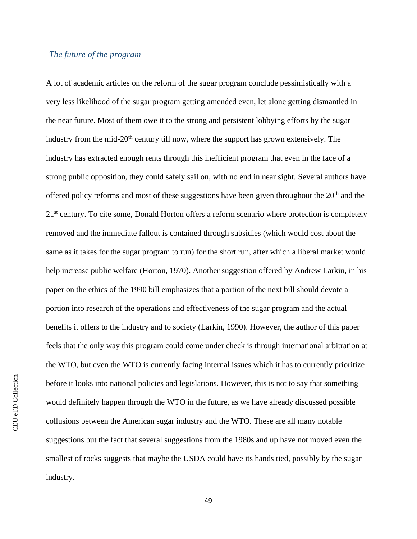### <span id="page-52-0"></span>*The future of the program*

A lot of academic articles on the reform of the sugar program conclude pessimistically with a very less likelihood of the sugar program getting amended even, let alone getting dismantled in the near future. Most of them owe it to the strong and persistent lobbying efforts by the sugar industry from the mid- $20<sup>th</sup>$  century till now, where the support has grown extensively. The industry has extracted enough rents through this inefficient program that even in the face of a strong public opposition, they could safely sail on, with no end in near sight. Several authors have offered policy reforms and most of these suggestions have been given throughout the  $20<sup>th</sup>$  and the 21<sup>st</sup> century. To cite some, Donald Horton offers a reform scenario where protection is completely removed and the immediate fallout is contained through subsidies (which would cost about the same as it takes for the sugar program to run) for the short run, after which a liberal market would help increase public welfare (Horton, 1970). Another suggestion offered by Andrew Larkin, in his paper on the ethics of the 1990 bill emphasizes that a portion of the next bill should devote a portion into research of the operations and effectiveness of the sugar program and the actual benefits it offers to the industry and to society (Larkin, 1990). However, the author of this paper feels that the only way this program could come under check is through international arbitration at the WTO, but even the WTO is currently facing internal issues which it has to currently prioritize before it looks into national policies and legislations. However, this is not to say that something would definitely happen through the WTO in the future, as we have already discussed possible collusions between the American sugar industry and the WTO. These are all many notable suggestions but the fact that several suggestions from the 1980s and up have not moved even the smallest of rocks suggests that maybe the USDA could have its hands tied, possibly by the sugar industry.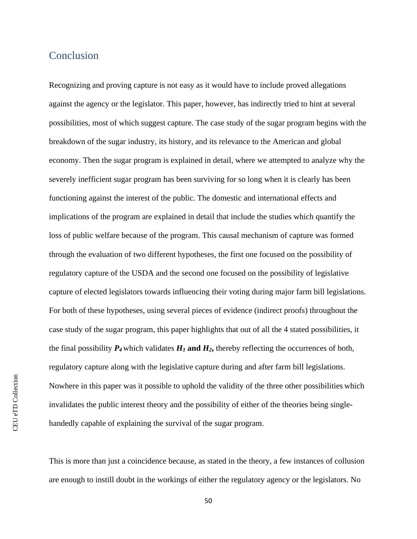### <span id="page-53-0"></span>Conclusion

Recognizing and proving capture is not easy as it would have to include proved allegations against the agency or the legislator. This paper, however, has indirectly tried to hint at several possibilities, most of which suggest capture. The case study of the sugar program begins with the breakdown of the sugar industry, its history, and its relevance to the American and global economy. Then the sugar program is explained in detail, where we attempted to analyze why the severely inefficient sugar program has been surviving for so long when it is clearly has been functioning against the interest of the public. The domestic and international effects and implications of the program are explained in detail that include the studies which quantify the loss of public welfare because of the program. This causal mechanism of capture was formed through the evaluation of two different hypotheses, the first one focused on the possibility of regulatory capture of the USDA and the second one focused on the possibility of legislative capture of elected legislators towards influencing their voting during major farm bill legislations. For both of these hypotheses, using several pieces of evidence (indirect proofs) throughout the case study of the sugar program, this paper highlights that out of all the 4 stated possibilities, it the final possibility  $P_4$  which validates  $H_1$  and  $H_2$ , thereby reflecting the occurrences of both, regulatory capture along with the legislative capture during and after farm bill legislations. Nowhere in this paper was it possible to uphold the validity of the three other possibilities which invalidates the public interest theory and the possibility of either of the theories being singlehandedly capable of explaining the survival of the sugar program.

This is more than just a coincidence because, as stated in the theory, a few instances of collusion are enough to instill doubt in the workings of either the regulatory agency or the legislators. No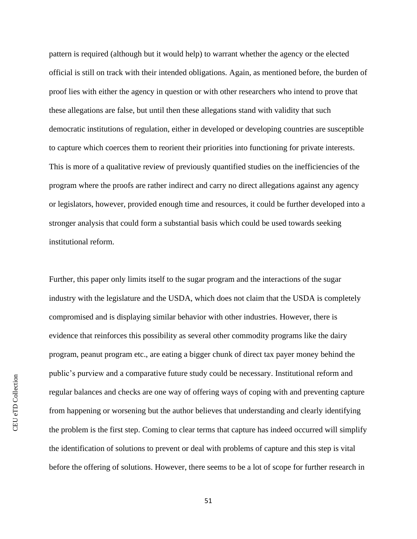pattern is required (although but it would help) to warrant whether the agency or the elected official is still on track with their intended obligations. Again, as mentioned before, the burden of proof lies with either the agency in question or with other researchers who intend to prove that these allegations are false, but until then these allegations stand with validity that such democratic institutions of regulation, either in developed or developing countries are susceptible to capture which coerces them to reorient their priorities into functioning for private interests. This is more of a qualitative review of previously quantified studies on the inefficiencies of the program where the proofs are rather indirect and carry no direct allegations against any agency or legislators, however, provided enough time and resources, it could be further developed into a stronger analysis that could form a substantial basis which could be used towards seeking institutional reform.

Further, this paper only limits itself to the sugar program and the interactions of the sugar industry with the legislature and the USDA, which does not claim that the USDA is completely compromised and is displaying similar behavior with other industries. However, there is evidence that reinforces this possibility as several other commodity programs like the dairy program, peanut program etc., are eating a bigger chunk of direct tax payer money behind the public's purview and a comparative future study could be necessary. Institutional reform and regular balances and checks are one way of offering ways of coping with and preventing capture from happening or worsening but the author believes that understanding and clearly identifying the problem is the first step. Coming to clear terms that capture has indeed occurred will simplify the identification of solutions to prevent or deal with problems of capture and this step is vital before the offering of solutions. However, there seems to be a lot of scope for further research in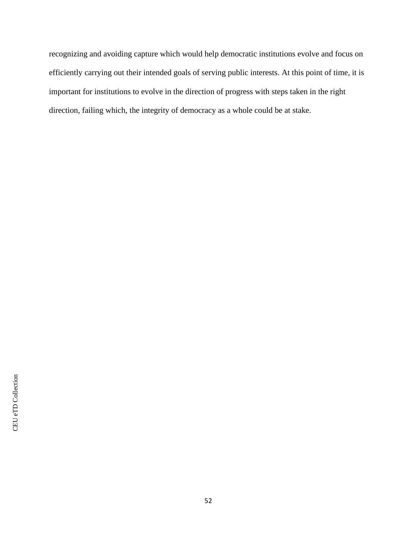recognizing and avoiding capture which would help democratic institutions evolve and focus on efficiently carrying out their intended goals of serving public interests. At this point of time, it is important for institutions to evolve in the direction of progress with steps taken in the right direction, failing which, the integrity of democracy as a whole could be at stake.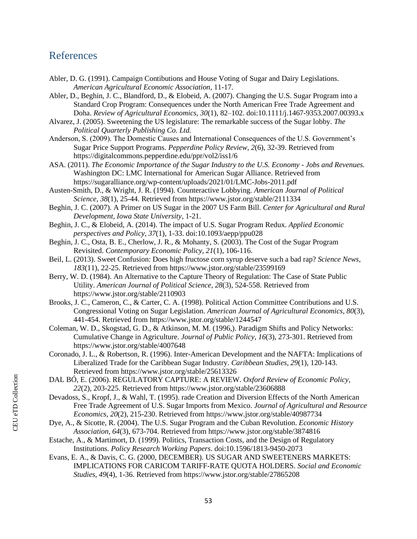### <span id="page-56-0"></span>References

- Abler, D. G. (1991). Campaign Contibutions and House Voting of Sugar and Dairy Legislations. *American Agricultural Economic Association*, 11-17.
- Abler, D., Beghin, J. C., Blandford, D., & Elobeid, A. (2007). Changing the U.S. Sugar Program into a Standard Crop Program: Consequences under the North American Free Trade Agreement and Doha. *Review of Agricultural Economics, 30*(1), 82–102. doi:10.1111/j.1467-9353.2007.00393.x
- Alvarez, J. (2005). Sweetening the US legislature: The remarkable success of the Sugar lobby. *The Political Quarterly Publishing Co. Ltd.*
- Anderson, S. (2009). The Domestic Causes and International Consequences of the U.S. Government's Sugar Price Support Programs. *Pepperdine Policy Review, 2*(6), 32-39. Retrieved from https://digitalcommons.pepperdine.edu/ppr/vol2/iss1/6
- ASA. (2011). *The Economic Importance of the Sugar Industry to the U.S. Economy - Jobs and Revenues.* Washington DC: LMC International for American Sugar Alliance. Retrieved from https://sugaralliance.org/wp-content/uploads/2021/01/LMC-Jobs-2011.pdf
- Austen-Smith, D., & Wright, J. R. (1994). Counteractive Lobbying. *American Journal of Political Science, 38*(1), 25-44. Retrieved from https://www.jstor.org/stable/2111334
- Beghin, J. C. (2007). A Primer on US Sugar in the 2007 US Farm Bill. *Center for Agricultural and Rural Development, Iowa State University*, 1-21.
- Beghin, J. C., & Elobeid, A. (2014). The impact of U.S. Sugar Program Redux. *Applied Economic perspectives and Policy, 37*(1), 1-33. doi:10.1093/aepp/ppu028
- Beghin, J. C., Osta, B. E., Cherlow, J. R., & Mohanty, S. (2003). The Cost of the Sugar Program Revisited. *Contemporary Economic Policy, 21*(1), 106-116.
- Beil, L. (2013). Sweet Confusion: Does high fructose corn syrup deserve such a bad rap? *Science News, 183*(11), 22-25. Retrieved from https://www.jstor.org/stable/23599169
- Berry, W. D. (1984). An Alternative to the Capture Theory of Regulation: The Case of State Public Utility. *American Journal of Political Science, 28*(3), 524-558. Retrieved from https://www.jstor.org/stable/2110903
- Brooks, J. C., Cameron, C., & Carter, C. A. (1998). Political Action Committee Contributions and U.S. Congressional Voting on Sugar Legislation. *American Journal of Agricultural Economics, 80*(3), 441-454. Retrieved from https://www.jstor.org/stable/1244547
- Coleman, W. D., Skogstad, G. D., & Atkinson, M. M. (1996,). Paradigm Shifts and Policy Networks: Cumulative Change in Agriculture. *Journal of Public Policy, 16*(3), 273-301. Retrieved from https://www.jstor.org/stable/4007648
- Coronado, J. L., & Robertson, R. (1996). Inter-American Development and the NAFTA: Implications of Liberalized Trade for the Caribbean Sugar Industry. *Caribbean Studies, 29*(1), 120-143. Retrieved from https://www.jstor.org/stable/25613326
- DAL BÓ, E. (2006). REGULATORY CAPTURE: A REVIEW. *Oxford Review of Economic Policy, 22*(2), 203-225. Retrieved from https://www.jstor.org/stable/23606888
- Devadoss, S., Kropf, J., & Wahl, T. (1995). rade Creation and Diversion Effects of the North American Free Trade Agreement of U.S. Sugar Imports from Mexico. *Journal of Agricultural and Resource Economics, 20*(2), 215-230. Retrieved from https://www.jstor.org/stable/40987734
- Dye, A., & Sicotte, R. (2004). The U.S. Sugar Program and the Cuban Revolution. *Economic History Association, 64*(3), 673-704. Retrieved from https://www.jstor.org/stable/3874816
- Estache, A., & Martimort, D. (1999). Politics, Transaction Costs, and the Design of Regulatory Institutions. *Policy Research Working Papers*. doi:10.1596/1813-9450-2073
- Evans, E. A., & Davis, C. G. (2000, DECEMBER). US SUGAR AND SWEETENERS MARKETS: IMPLICATIONS FOR CARICOM TARIFF-RATE QUOTA HOLDERS. *Social and Economic Studies, 49*(4), 1-36. Retrieved from https://www.jstor.org/stable/27865208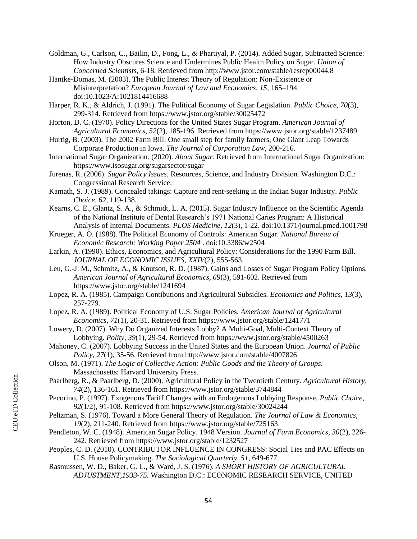- Goldman, G., Carlson, C., Bailin, D., Fong, L., & Phartiyal, P. (2014). Added Sugar, Subtracted Science: How Industry Obscures Science and Undermines Public Health Policy on Sugar. *Union of Concerned Scientists*, 6-18. Retrieved from http://www.jstor.com/stable/resrep00044.8
- Hantke-Domas, M. (2003). The Public Interest Theory of Regulation: Non-Existence or Misinterpretation? *European Journal of Law and Economics, 15*, 165–194. doi:10.1023/A:1021814416688
- Harper, R. K., & Aldrich, J. (1991). The Political Economy of Sugar Legislation. *Public Choice, 70*(3), 299-314. Retrieved from https://www.jstor.org/stable/30025472
- Horton, D. C. (1970). Policy Directions for the United States Sugar Program. *American Journal of Agricultural Economics, 52*(2), 185-196. Retrieved from https://www.jstor.org/stable/1237489
- Hurtig, B. (2003). The 2002 Farm Bill: One small step for family farmers, One Giant Leap Towards Corporate Production in Iowa. *The Journal of Corporation Law*, 200-216.
- International Sugar Organization. (2020). *About Sugar*. Retrieved from International Sugar Organization: https://www.isosugar.org/sugarsector/sugar
- Jurenas, R. (2006). *Sugar Policy Issues.* Resources, Science, and Industry Division. Washington D.C.: Congressional Research Service.
- Kamath, S. J. (1989). Concealed takings: Capture and rent-seeking in the Indian Sugar Industry. *Public Choice, 62*, 119-138.
- Kearns, C. E., Glantz, S. A., & Schmidt, L. A. (2015). Sugar Industry Influence on the Scientific Agenda of the National Institute of Dental Research's 1971 National Caries Program: A Historical Analysis of Internal Documents. *PLOS Medicine, 12*(3), 1-22. doi:10.1371/journal.pmed.1001798
- Krueger, A. O. (1988). The Political Economy of Controls: American Sugar. *National Bureau of Economic Research: Working Paper 2504* . doi:10.3386/w2504
- Larkin, A. (1990). Ethics, Economics, and Agricultural Policy: Considerations for the 1990 Farm Bill. *JOURNAL OF ECONOMIC ISSUES, XXIV*(2), 555-563.
- Leu, G.-J. M., Schmitz, A., & Knutson, R. D. (1987). Gains and Losses of Sugar Program Policy Options. *American Journal of Agricultural Economics, 69*(3), 591-602. Retrieved from https://www.jstor.org/stable/1241694
- Lopez, R. A. (1985). Campaign Contibutions and Agricultural Subsidies. *Economics and Politics, 13*(3), 257-279.
- Lopez, R. A. (1989). Political Economy of U.S. Sugar Policies. *American Journal of Agricultural Economics, 71*(1), 20-31. Retrieved from https://www.jstor.org/stable/1241771
- Lowery, D. (2007). Why Do Organized Interests Lobby? A Multi-Goal, Multi-Context Theory of Lobbying. *Polity, 39*(1), 29-54. Retrieved from https://www.jstor.org/stable/4500263
- Mahoney, C. (2007). Lobbying Success in the United States and the European Union. *Journal of Public Policy, 27*(1), 35-56. Retrieved from http://www.jstor.com/stable/4007826
- Olson, M. (1971). *The Logic of Collective Action: Public Goods and the Theory of Groups.* Massachusetts: Harvard University Press.
- Paarlberg, R., & Paarlberg, D. (2000). Agricultural Policy in the Twentieth Century. *Agricultural History, 74*(2), 136-161. Retrieved from https://www.jstor.org/stable/3744844
- Pecorino, P. (1997). Exogenous Tariff Changes with an Endogenous Lobbying Response. *Public Choice, 92*(1/2), 91-108. Retrieved from https://www.jstor.org/stable/30024244
- Peltzman, S. (1976). Toward a More General Theory of Regulation. *The Journal of Law & Economics, 19*(2), 211-240. Retrieved from https://www.jstor.org/stable/725163
- Pendleton, W. C. (1948). American Sugar Policy. 1948 Version. *Journal of Farm Economics, 30*(2), 226- 242. Retrieved from https://www.jstor.org/stable/1232527
- Peoples, C. D. (2010). CONTRIBUTOR INFLUENCE IN CONGRESS: Social Ties and PAC Effects on U.S. House Policymaking. *The Sociological Quarterly, 51*, 649-677.
- Rasmussen, W. D., Baker, G. L., & Ward, J. S. (1976). *A SHORT HISTORY OF AGRICULTURAL ADJUSTMENT,1933-75.* Washington D.C.: ECONOMIC RESEARCH SERVICE, UNITED